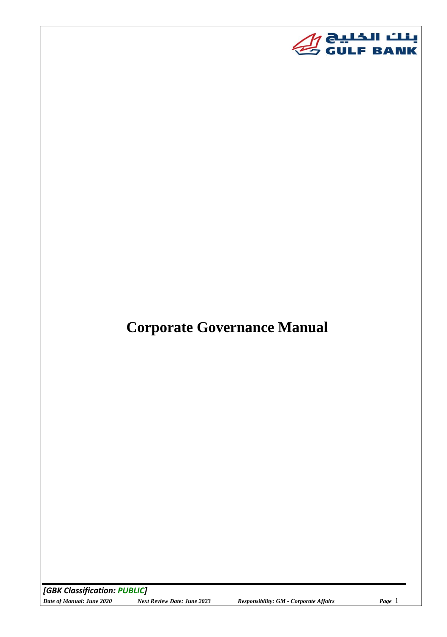

# **Corporate Governance Manual**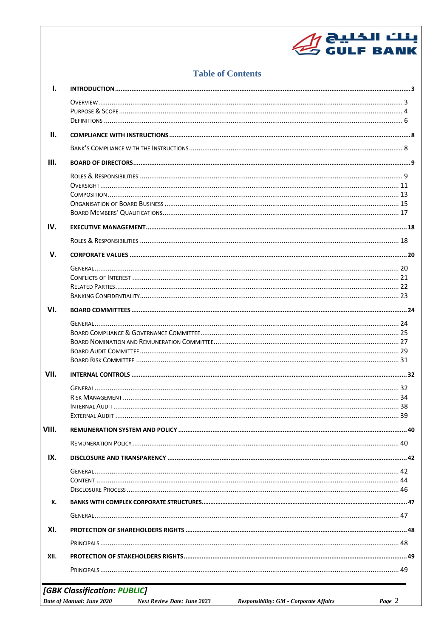# بنك الخليج<br>GULF BANK صلى

# **Table of Contents**

| $\mathbf{I}$ . |                                                                                                           |        |
|----------------|-----------------------------------------------------------------------------------------------------------|--------|
|                |                                                                                                           |        |
|                |                                                                                                           |        |
|                |                                                                                                           |        |
| Ш.             |                                                                                                           |        |
|                |                                                                                                           |        |
| III.           |                                                                                                           |        |
|                |                                                                                                           |        |
|                |                                                                                                           |        |
|                |                                                                                                           |        |
|                |                                                                                                           |        |
|                |                                                                                                           |        |
| IV.            |                                                                                                           |        |
|                |                                                                                                           |        |
| $V_{\cdot}$    |                                                                                                           |        |
|                |                                                                                                           |        |
|                |                                                                                                           |        |
|                |                                                                                                           |        |
|                |                                                                                                           |        |
| VI.            |                                                                                                           |        |
|                |                                                                                                           |        |
|                |                                                                                                           |        |
|                |                                                                                                           |        |
|                |                                                                                                           |        |
|                |                                                                                                           |        |
| VII.           |                                                                                                           |        |
|                |                                                                                                           |        |
|                |                                                                                                           |        |
|                |                                                                                                           |        |
|                |                                                                                                           |        |
| VIII.          |                                                                                                           |        |
|                |                                                                                                           |        |
| IX.            |                                                                                                           |        |
|                |                                                                                                           |        |
|                |                                                                                                           |        |
|                |                                                                                                           |        |
| х.             |                                                                                                           |        |
|                |                                                                                                           |        |
| XI.            |                                                                                                           |        |
|                |                                                                                                           |        |
| XII.           |                                                                                                           |        |
|                |                                                                                                           |        |
|                | [GBK Classification: PUBLIC]                                                                              |        |
|                | Date of Manual: June 2020<br>Responsibility: GM - Corporate Affairs<br><b>Next Review Date: June 2023</b> | Page 2 |
|                |                                                                                                           |        |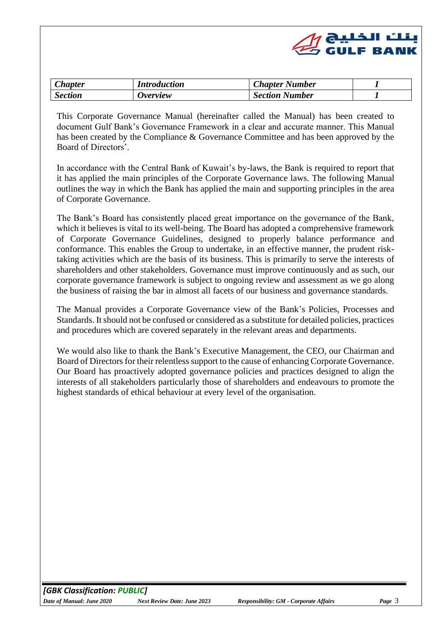

<span id="page-2-0"></span>

| $\mathcal{L}$ hapter | <i>Introduction</i>    | <b>Chapter Number</b> |  |
|----------------------|------------------------|-----------------------|--|
| <b>Section</b>       | <i><b>Overview</b></i> | <b>Section Number</b> |  |

<span id="page-2-1"></span>This Corporate Governance Manual (hereinafter called the Manual) has been created to document Gulf Bank's Governance Framework in a clear and accurate manner. This Manual has been created by the Compliance & Governance Committee and has been approved by the Board of Directors'.

In accordance with the Central Bank of Kuwait's by-laws, the Bank is required to report that it has applied the main principles of the Corporate Governance laws. The following Manual outlines the way in which the Bank has applied the main and supporting principles in the area of Corporate Governance.

The Bank's Board has consistently placed great importance on the governance of the Bank, which it believes is vital to its well-being. The Board has adopted a comprehensive framework of Corporate Governance Guidelines, designed to properly balance performance and conformance. This enables the Group to undertake, in an effective manner, the prudent risktaking activities which are the basis of its business. This is primarily to serve the interests of shareholders and other stakeholders. Governance must improve continuously and as such, our corporate governance framework is subject to ongoing review and assessment as we go along the business of raising the bar in almost all facets of our business and governance standards.

The Manual provides a Corporate Governance view of the Bank's Policies, Processes and Standards. It should not be confused or considered as a substitute for detailed policies, practices and procedures which are covered separately in the relevant areas and departments.

We would also like to thank the Bank's Executive Management, the CEO, our Chairman and Board of Directors for their relentless support to the cause of enhancing Corporate Governance. Our Board has proactively adopted governance policies and practices designed to align the interests of all stakeholders particularly those of shareholders and endeavours to promote the highest standards of ethical behaviour at every level of the organisation.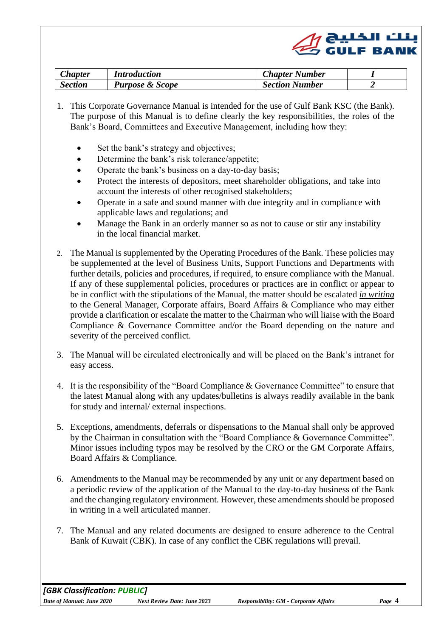

<span id="page-3-0"></span>

| <b>Chapter</b> | <i><b>Introduction</b></i> | <b>Chapter Number</b> |  |
|----------------|----------------------------|-----------------------|--|
| <b>Section</b> | <b>Purpose &amp; Scope</b> | <b>Section Number</b> |  |

- 1. This Corporate Governance Manual is intended for the use of Gulf Bank KSC (the Bank). The purpose of this Manual is to define clearly the key responsibilities, the roles of the Bank's Board, Committees and Executive Management, including how they:
	- Set the bank's strategy and objectives;
	- Determine the bank's risk tolerance/appetite;
	- Operate the bank's business on a day-to-day basis;
	- Protect the interests of depositors, meet shareholder obligations, and take into account the interests of other recognised stakeholders;
	- Operate in a safe and sound manner with due integrity and in compliance with applicable laws and regulations; and
	- Manage the Bank in an orderly manner so as not to cause or stir any instability in the local financial market.
- 2. The Manual is supplemented by the Operating Procedures of the Bank. These policies may be supplemented at the level of Business Units, Support Functions and Departments with further details, policies and procedures, if required, to ensure compliance with the Manual. If any of these supplemental policies, procedures or practices are in conflict or appear to be in conflict with the stipulations of the Manual, the matter should be escalated *in writing* to the General Manager, Corporate affairs, Board Affairs & Compliance who may either provide a clarification or escalate the matter to the Chairman who will liaise with the Board Compliance & Governance Committee and/or the Board depending on the nature and severity of the perceived conflict.
- 3. The Manual will be circulated electronically and will be placed on the Bank's intranet for easy access.
- 4. It is the responsibility of the "Board Compliance & Governance Committee" to ensure that the latest Manual along with any updates/bulletins is always readily available in the bank for study and internal/ external inspections.
- 5. Exceptions, amendments, deferrals or dispensations to the Manual shall only be approved by the Chairman in consultation with the "Board Compliance & Governance Committee". Minor issues including typos may be resolved by the CRO or the GM Corporate Affairs, Board Affairs & Compliance.
- 6. Amendments to the Manual may be recommended by any unit or any department based on a periodic review of the application of the Manual to the day-to-day business of the Bank and the changing regulatory environment. However, these amendments should be proposed in writing in a well articulated manner.
- 7. The Manual and any related documents are designed to ensure adherence to the Central Bank of Kuwait (CBK). In case of any conflict the CBK regulations will prevail.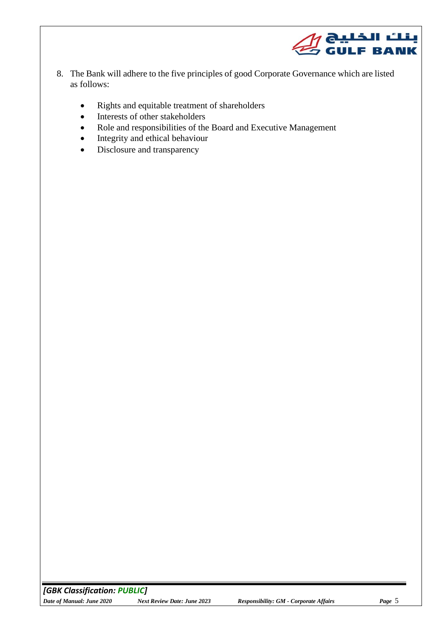

- 8. The Bank will adhere to the five principles of good Corporate Governance which are listed as follows:
	- Rights and equitable treatment of shareholders
	- Interests of other stakeholders
	- Role and responsibilities of the Board and Executive Management
	- Integrity and ethical behaviour
	- Disclosure and transparency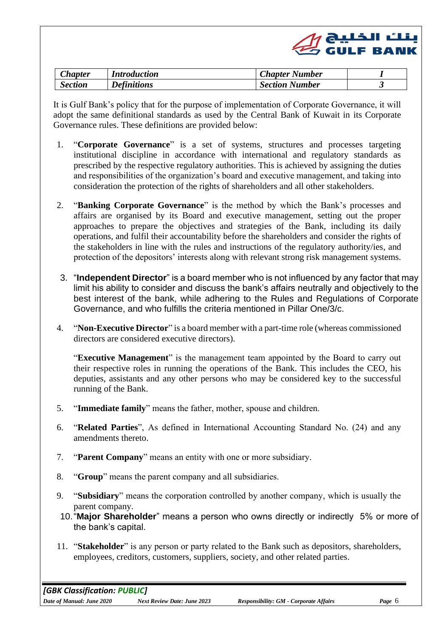

<span id="page-5-0"></span>

| <i>Lhapter</i> | <i>Introduction</i> | <b>Chapter Number</b> |  |
|----------------|---------------------|-----------------------|--|
| Section        | <b>Definitions</b>  | <b>Section Number</b> |  |

It is Gulf Bank's policy that for the purpose of implementation of Corporate Governance, it will adopt the same definitional standards as used by the Central Bank of Kuwait in its Corporate Governance rules. These definitions are provided below:

- 1. "**Corporate Governance**" is a set of systems, structures and processes targeting institutional discipline in accordance with international and regulatory standards as prescribed by the respective regulatory authorities. This is achieved by assigning the duties and responsibilities of the organization's board and executive management, and taking into consideration the protection of the rights of shareholders and all other stakeholders.
- 2. "**Banking Corporate Governance**" is the method by which the Bank's processes and affairs are organised by its Board and executive management, setting out the proper approaches to prepare the objectives and strategies of the Bank, including its daily operations, and fulfil their accountability before the shareholders and consider the rights of the stakeholders in line with the rules and instructions of the regulatory authority/ies, and protection of the depositors' interests along with relevant strong risk management systems.
- 3. "**Independent Director**" is a board member who is not influenced by any factor that may limit his ability to consider and discuss the bank's affairs neutrally and objectively to the best interest of the bank, while adhering to the Rules and Regulations of Corporate Governance, and who fulfills the criteria mentioned in Pillar One/3/c.
- 4. "**Non-Executive Director**" is a board member with a part-time role (whereas commissioned directors are considered executive directors).

"**Executive Management**" is the management team appointed by the Board to carry out their respective roles in running the operations of the Bank. This includes the CEO, his deputies, assistants and any other persons who may be considered key to the successful running of the Bank.

- 5. "**Immediate family**" means the father, mother, spouse and children.
- 6. "**Related Parties**", As defined in International Accounting Standard No. (24) and any amendments thereto.
- 7. "**Parent Company**" means an entity with one or more subsidiary.
- 8. "**Group**" means the parent company and all subsidiaries.
- 9. "**Subsidiary**" means the corporation controlled by another company, which is usually the parent company.
- 10."**Major Shareholder**" means a person who owns directly or indirectly 5% or more of the bank's capital.
- 11. "**Stakeholder**" is any person or party related to the Bank such as depositors, shareholders, employees, creditors, customers, suppliers, society, and other related parties.

*[GBK Classification: PUBLIC] Date of Manual: June 2020 Next Review Date: June 2023 Responsibility: GM - Corporate Affairs Page* 6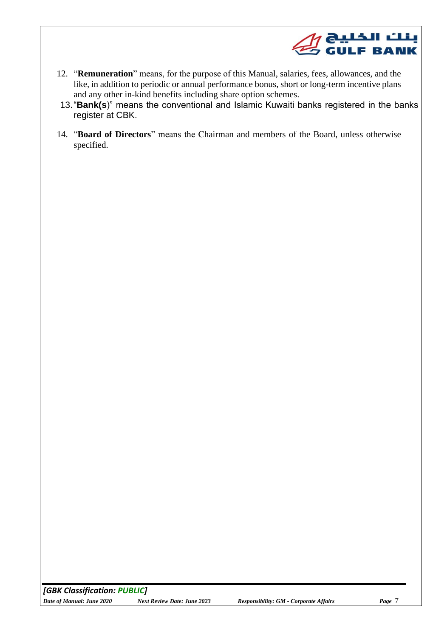

- 12. "**Remuneration**" means, for the purpose of this Manual, salaries, fees, allowances, and the like, in addition to periodic or annual performance bonus, short or long-term incentive plans and any other in-kind benefits including share option schemes.
- 13."**Bank(s**)" means the conventional and Islamic Kuwaiti banks registered in the banks register at CBK.
- 14. "**Board of Directors**" means the Chairman and members of the Board, unless otherwise specified.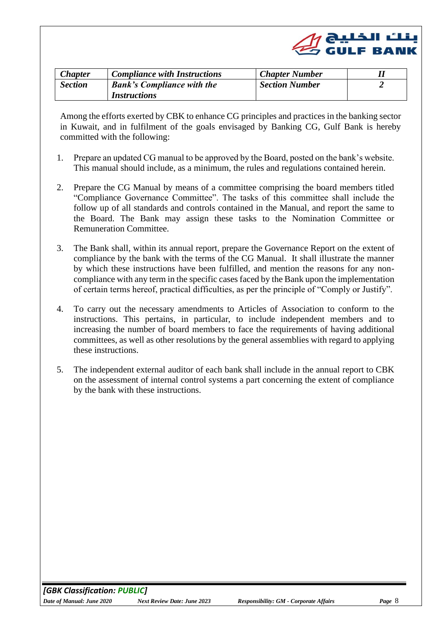

<span id="page-7-1"></span><span id="page-7-0"></span>

| <b>Chapter</b> | <b>Compliance with Instructions</b> | <b>Chapter Number</b> |  |
|----------------|-------------------------------------|-----------------------|--|
| <b>Section</b> | <b>Bank's Compliance with the</b>   | <b>Section Number</b> |  |
|                | <i>Instructions</i>                 |                       |  |

Among the efforts exerted by CBK to enhance CG principles and practices in the banking sector in Kuwait, and in fulfilment of the goals envisaged by Banking CG, Gulf Bank is hereby committed with the following:

- 1. Prepare an updated CG manual to be approved by the Board, posted on the bank's website. This manual should include, as a minimum, the rules and regulations contained herein.
- 2. Prepare the CG Manual by means of a committee comprising the board members titled "Compliance Governance Committee". The tasks of this committee shall include the follow up of all standards and controls contained in the Manual, and report the same to the Board. The Bank may assign these tasks to the Nomination Committee or Remuneration Committee.
- 3. The Bank shall, within its annual report, prepare the Governance Report on the extent of compliance by the bank with the terms of the CG Manual. It shall illustrate the manner by which these instructions have been fulfilled, and mention the reasons for any noncompliance with any term in the specific cases faced by the Bank upon the implementation of certain terms hereof, practical difficulties, as per the principle of "Comply or Justify".
- 4. To carry out the necessary amendments to Articles of Association to conform to the instructions. This pertains, in particular, to include independent members and to increasing the number of board members to face the requirements of having additional committees, as well as other resolutions by the general assemblies with regard to applying these instructions.
- 5. The independent external auditor of each bank shall include in the annual report to CBK on the assessment of internal control systems a part concerning the extent of compliance by the bank with these instructions.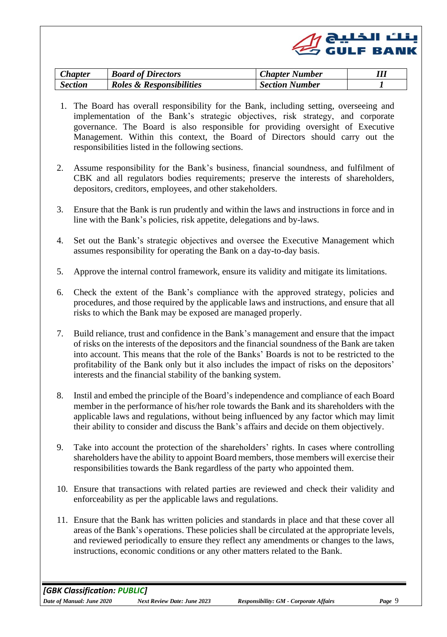|  | $\mathscr{Q}$ ونلٹ الخلیج (CuLF BANK |
|--|--------------------------------------|
|  |                                      |

<span id="page-8-0"></span>

| <b>Chapter</b> | <b>Board of Directors</b> | <b>Chapter Number</b> |  |
|----------------|---------------------------|-----------------------|--|
| <b>Section</b> | Roles & Responsibilities  | <b>Section Number</b> |  |

- <span id="page-8-1"></span>1. The Board has overall responsibility for the Bank, including setting, overseeing and implementation of the Bank's strategic objectives, risk strategy, and corporate governance. The Board is also responsible for providing oversight of Executive Management. Within this context, the Board of Directors should carry out the responsibilities listed in the following sections.
- 2. Assume responsibility for the Bank's business, financial soundness, and fulfilment of CBK and all regulators bodies requirements; preserve the interests of shareholders, depositors, creditors, employees, and other stakeholders.
- 3. Ensure that the Bank is run prudently and within the laws and instructions in force and in line with the Bank's policies, risk appetite, delegations and by-laws.
- 4. Set out the Bank's strategic objectives and oversee the Executive Management which assumes responsibility for operating the Bank on a day-to-day basis.
- 5. Approve the internal control framework, ensure its validity and mitigate its limitations.
- 6. Check the extent of the Bank's compliance with the approved strategy, policies and procedures, and those required by the applicable laws and instructions, and ensure that all risks to which the Bank may be exposed are managed properly.
- 7. Build reliance, trust and confidence in the Bank's management and ensure that the impact of risks on the interests of the depositors and the financial soundness of the Bank are taken into account. This means that the role of the Banks' Boards is not to be restricted to the profitability of the Bank only but it also includes the impact of risks on the depositors' interests and the financial stability of the banking system.
- 8. Instil and embed the principle of the Board's independence and compliance of each Board member in the performance of his/her role towards the Bank and its shareholders with the applicable laws and regulations, without being influenced by any factor which may limit their ability to consider and discuss the Bank's affairs and decide on them objectively.
- 9. Take into account the protection of the shareholders' rights. In cases where controlling shareholders have the ability to appoint Board members, those members will exercise their responsibilities towards the Bank regardless of the party who appointed them.
- 10. Ensure that transactions with related parties are reviewed and check their validity and enforceability as per the applicable laws and regulations.
- 11. Ensure that the Bank has written policies and standards in place and that these cover all areas of the Bank's operations. These policies shall be circulated at the appropriate levels, and reviewed periodically to ensure they reflect any amendments or changes to the laws, instructions, economic conditions or any other matters related to the Bank.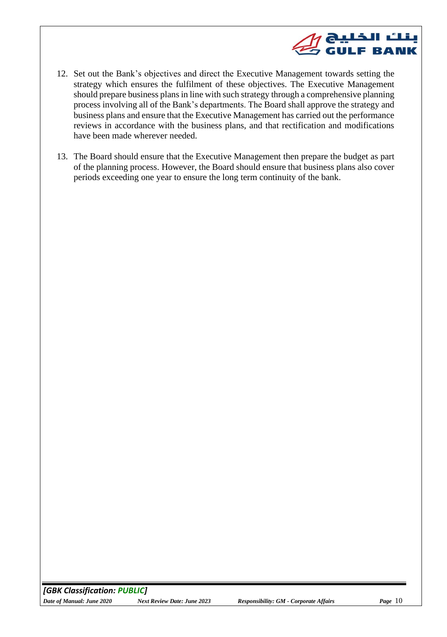

- 12. Set out the Bank's objectives and direct the Executive Management towards setting the strategy which ensures the fulfilment of these objectives. The Executive Management should prepare business plans in line with such strategy through a comprehensive planning process involving all of the Bank's departments. The Board shall approve the strategy and business plans and ensure that the Executive Management has carried out the performance reviews in accordance with the business plans, and that rectification and modifications have been made wherever needed.
- 13. The Board should ensure that the Executive Management then prepare the budget as part of the planning process. However, the Board should ensure that business plans also cover periods exceeding one year to ensure the long term continuity of the bank.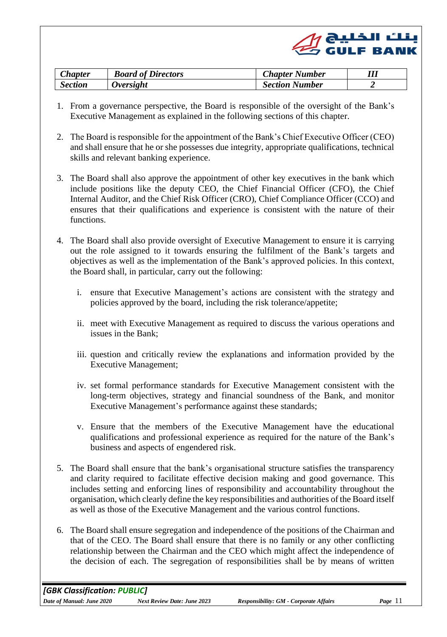|  | $\mathscr{Q}$ ونلٹ الخلیج (CuLF BANK |
|--|--------------------------------------|
|  |                                      |

| <b>Chapter</b> | <b>Board of Directors</b> | <b>Chapter Number</b> |  |
|----------------|---------------------------|-----------------------|--|
| <b>Section</b> | Oversight                 | <b>Section Number</b> |  |

- <span id="page-10-0"></span>1. From a governance perspective, the Board is responsible of the oversight of the Bank's Executive Management as explained in the following sections of this chapter.
- 2. The Board is responsible for the appointment of the Bank's Chief Executive Officer (CEO) and shall ensure that he or she possesses due integrity, appropriate qualifications, technical skills and relevant banking experience.
- 3. The Board shall also approve the appointment of other key executives in the bank which include positions like the deputy CEO, the Chief Financial Officer (CFO), the Chief Internal Auditor, and the Chief Risk Officer (CRO), Chief Compliance Officer (CCO) and ensures that their qualifications and experience is consistent with the nature of their functions.
- 4. The Board shall also provide oversight of Executive Management to ensure it is carrying out the role assigned to it towards ensuring the fulfilment of the Bank's targets and objectives as well as the implementation of the Bank's approved policies. In this context, the Board shall, in particular, carry out the following:
	- i. ensure that Executive Management's actions are consistent with the strategy and policies approved by the board, including the risk tolerance/appetite;
	- ii. meet with Executive Management as required to discuss the various operations and issues in the Bank;
	- iii. question and critically review the explanations and information provided by the Executive Management;
	- iv. set formal performance standards for Executive Management consistent with the long-term objectives, strategy and financial soundness of the Bank, and monitor Executive Management's performance against these standards;
	- v. Ensure that the members of the Executive Management have the educational qualifications and professional experience as required for the nature of the Bank's business and aspects of engendered risk.
- 5. The Board shall ensure that the bank's organisational structure satisfies the transparency and clarity required to facilitate effective decision making and good governance. This includes setting and enforcing lines of responsibility and accountability throughout the organisation, which clearly define the key responsibilities and authorities of the Board itself as well as those of the Executive Management and the various control functions.
- 6. The Board shall ensure segregation and independence of the positions of the Chairman and that of the CEO. The Board shall ensure that there is no family or any other conflicting relationship between the Chairman and the CEO which might affect the independence of the decision of each. The segregation of responsibilities shall be by means of written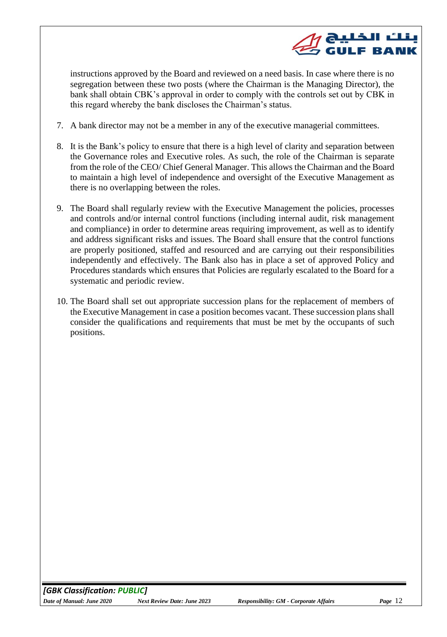

instructions approved by the Board and reviewed on a need basis. In case where there is no segregation between these two posts (where the Chairman is the Managing Director), the bank shall obtain CBK's approval in order to comply with the controls set out by CBK in this regard whereby the bank discloses the Chairman's status.

- 7. A bank director may not be a member in any of the executive managerial committees.
- 8. It is the Bank's policy to ensure that there is a high level of clarity and separation between the Governance roles and Executive roles. As such, the role of the Chairman is separate from the role of the CEO/ Chief General Manager. This allows the Chairman and the Board to maintain a high level of independence and oversight of the Executive Management as there is no overlapping between the roles.
- 9. The Board shall regularly review with the Executive Management the policies, processes and controls and/or internal control functions (including internal audit, risk management and compliance) in order to determine areas requiring improvement, as well as to identify and address significant risks and issues. The Board shall ensure that the control functions are properly positioned, staffed and resourced and are carrying out their responsibilities independently and effectively. The Bank also has in place a set of approved Policy and Procedures standards which ensures that Policies are regularly escalated to the Board for a systematic and periodic review.
- 10. The Board shall set out appropriate succession plans for the replacement of members of the Executive Management in case a position becomes vacant. These succession plans shall consider the qualifications and requirements that must be met by the occupants of such positions.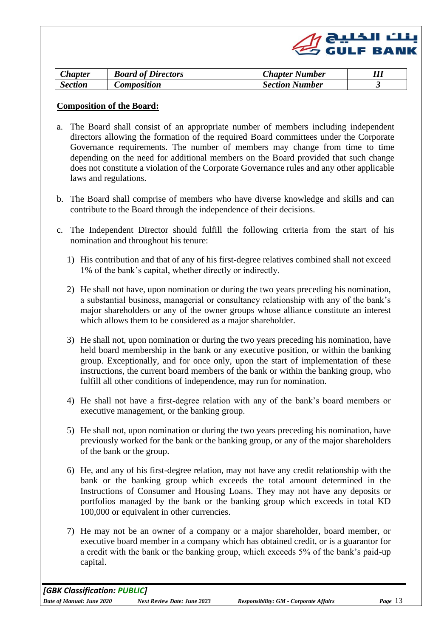

<span id="page-12-0"></span>

| <b>Chapter</b> | <b>Board of Directors</b> | <b>Chapter Number</b> |  |
|----------------|---------------------------|-----------------------|--|
| <b>Section</b> | Composition               | <b>Section Number</b> |  |

#### **Composition of the Board:**

- a. The Board shall consist of an appropriate number of members including independent directors allowing the formation of the required Board committees under the Corporate Governance requirements. The number of members may change from time to time depending on the need for additional members on the Board provided that such change does not constitute a violation of the Corporate Governance rules and any other applicable laws and regulations.
- b. The Board shall comprise of members who have diverse knowledge and skills and can contribute to the Board through the independence of their decisions.
- c. The Independent Director should fulfill the following criteria from the start of his nomination and throughout his tenure:
	- 1) His contribution and that of any of his first-degree relatives combined shall not exceed 1% of the bank's capital, whether directly or indirectly.
	- 2) He shall not have, upon nomination or during the two years preceding his nomination, a substantial business, managerial or consultancy relationship with any of the bank's major shareholders or any of the owner groups whose alliance constitute an interest which allows them to be considered as a major shareholder.
	- 3) He shall not, upon nomination or during the two years preceding his nomination, have held board membership in the bank or any executive position, or within the banking group. Exceptionally, and for once only, upon the start of implementation of these instructions, the current board members of the bank or within the banking group, who fulfill all other conditions of independence, may run for nomination.
	- 4) He shall not have a first-degree relation with any of the bank's board members or executive management, or the banking group.
	- 5) He shall not, upon nomination or during the two years preceding his nomination, have previously worked for the bank or the banking group, or any of the major shareholders of the bank or the group.
	- 6) He, and any of his first-degree relation, may not have any credit relationship with the bank or the banking group which exceeds the total amount determined in the Instructions of Consumer and Housing Loans. They may not have any deposits or portfolios managed by the bank or the banking group which exceeds in total KD 100,000 or equivalent in other currencies.
	- 7) He may not be an owner of a company or a major shareholder, board member, or executive board member in a company which has obtained credit, or is a guarantor for a credit with the bank or the banking group, which exceeds 5% of the bank's paid-up capital.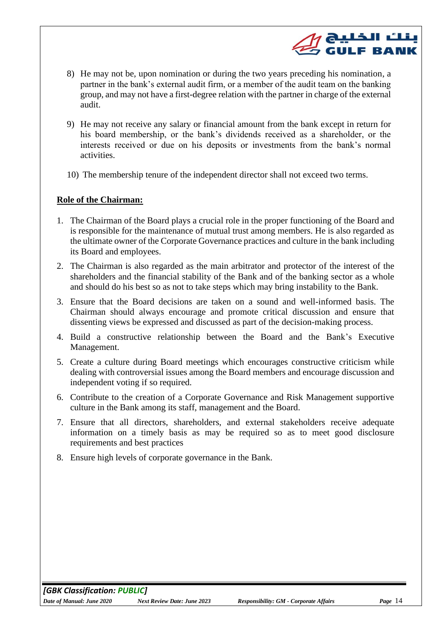8) He may not be, upon nomination or during the two years preceding his nomination, a partner in the bank's external audit firm, or a member of the audit team on the banking group, and may not have a first-degree relation with the partner in charge of the external audit.

لٹ الخلیج<br>ایک الخلیج

**GULF BANK** 

- 9) He may not receive any salary or financial amount from the bank except in return for his board membership, or the bank's dividends received as a shareholder, or the interests received or due on his deposits or investments from the bank's normal activities.
- 10) The membership tenure of the independent director shall not exceed two terms.

#### **Role of the Chairman:**

- 1. The Chairman of the Board plays a crucial role in the proper functioning of the Board and is responsible for the maintenance of mutual trust among members. He is also regarded as the ultimate owner of the Corporate Governance practices and culture in the bank including its Board and employees.
- 2. The Chairman is also regarded as the main arbitrator and protector of the interest of the shareholders and the financial stability of the Bank and of the banking sector as a whole and should do his best so as not to take steps which may bring instability to the Bank.
- 3. Ensure that the Board decisions are taken on a sound and well-informed basis. The Chairman should always encourage and promote critical discussion and ensure that dissenting views be expressed and discussed as part of the decision-making process.
- 4. Build a constructive relationship between the Board and the Bank's Executive Management.
- 5. Create a culture during Board meetings which encourages constructive criticism while dealing with controversial issues among the Board members and encourage discussion and independent voting if so required.
- 6. Contribute to the creation of a Corporate Governance and Risk Management supportive culture in the Bank among its staff, management and the Board.
- 7. Ensure that all directors, shareholders, and external stakeholders receive adequate information on a timely basis as may be required so as to meet good disclosure requirements and best practices
- 8. Ensure high levels of corporate governance in the Bank.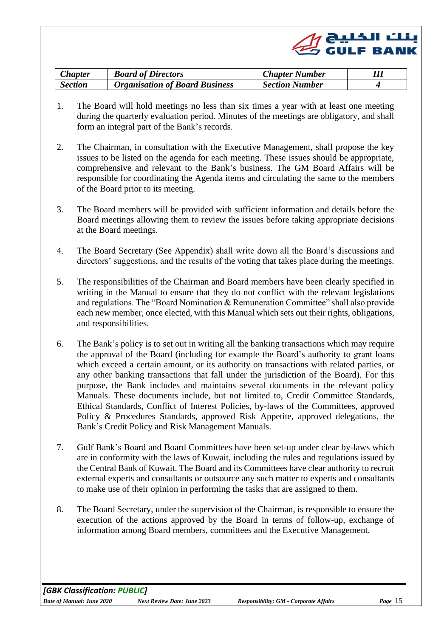

<span id="page-14-0"></span>

| <b>Chapter</b> | <b>Board of Directors</b>             | <b>Chapter Number</b> |  |
|----------------|---------------------------------------|-----------------------|--|
| <b>Section</b> | <b>Organisation of Board Business</b> | <b>Section Number</b> |  |

- 1. The Board will hold meetings no less than six times a year with at least one meeting during the quarterly evaluation period. Minutes of the meetings are obligatory, and shall form an integral part of the Bank's records.
- 2. The Chairman, in consultation with the Executive Management, shall propose the key issues to be listed on the agenda for each meeting. These issues should be appropriate, comprehensive and relevant to the Bank's business. The GM Board Affairs will be responsible for coordinating the Agenda items and circulating the same to the members of the Board prior to its meeting.
- 3. The Board members will be provided with sufficient information and details before the Board meetings allowing them to review the issues before taking appropriate decisions at the Board meetings.
- 4. The Board Secretary (See Appendix) shall write down all the Board's discussions and directors' suggestions, and the results of the voting that takes place during the meetings.
- 5. The responsibilities of the Chairman and Board members have been clearly specified in writing in the Manual to ensure that they do not conflict with the relevant legislations and regulations. The "Board Nomination & Remuneration Committee" shall also provide each new member, once elected, with this Manual which sets out their rights, obligations, and responsibilities.
- 6. The Bank's policy is to set out in writing all the banking transactions which may require the approval of the Board (including for example the Board's authority to grant loans which exceed a certain amount, or its authority on transactions with related parties, or any other banking transactions that fall under the jurisdiction of the Board). For this purpose, the Bank includes and maintains several documents in the relevant policy Manuals. These documents include, but not limited to, Credit Committee Standards, Ethical Standards, Conflict of Interest Policies, by-laws of the Committees, approved Policy & Procedures Standards, approved Risk Appetite, approved delegations, the Bank's Credit Policy and Risk Management Manuals.
- 7. Gulf Bank's Board and Board Committees have been set-up under clear by-laws which are in conformity with the laws of Kuwait, including the rules and regulations issued by the Central Bank of Kuwait. The Board and its Committees have clear authority to recruit external experts and consultants or outsource any such matter to experts and consultants to make use of their opinion in performing the tasks that are assigned to them.
- 8. The Board Secretary, under the supervision of the Chairman, is responsible to ensure the execution of the actions approved by the Board in terms of follow-up, exchange of information among Board members, committees and the Executive Management.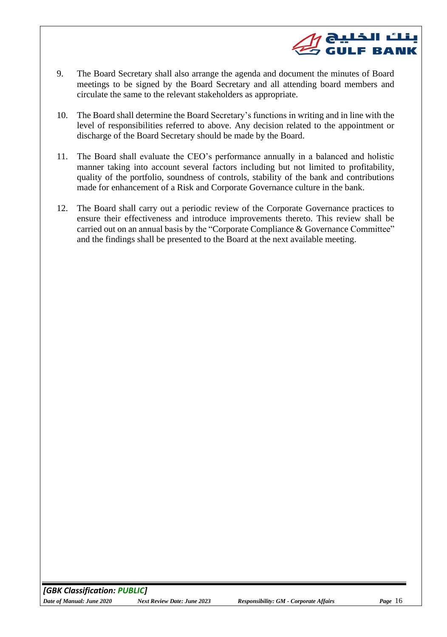

- 9. The Board Secretary shall also arrange the agenda and document the minutes of Board meetings to be signed by the Board Secretary and all attending board members and circulate the same to the relevant stakeholders as appropriate.
- 10. The Board shall determine the Board Secretary's functions in writing and in line with the level of responsibilities referred to above. Any decision related to the appointment or discharge of the Board Secretary should be made by the Board.
- 11. The Board shall evaluate the CEO's performance annually in a balanced and holistic manner taking into account several factors including but not limited to profitability, quality of the portfolio, soundness of controls, stability of the bank and contributions made for enhancement of a Risk and Corporate Governance culture in the bank.
- 12. The Board shall carry out a periodic review of the Corporate Governance practices to ensure their effectiveness and introduce improvements thereto. This review shall be carried out on an annual basis by the "Corporate Compliance & Governance Committee" and the findings shall be presented to the Board at the next available meeting.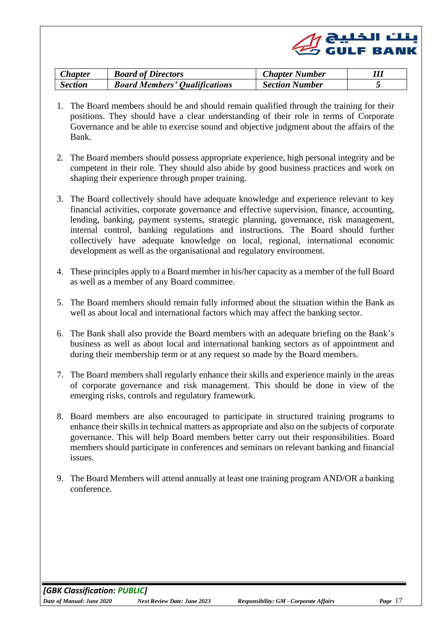

<span id="page-16-0"></span>

| <b>Chapter</b> | <b>Board of Directors</b>            | <b>Chapter Number</b> |  |
|----------------|--------------------------------------|-----------------------|--|
| <b>Section</b> | <b>Board Members' Qualifications</b> | <b>Section Number</b> |  |

- 1. The Board members should be and should remain qualified through the training for their positions. They should have a clear understanding of their role in terms of Corporate Governance and be able to exercise sound and objective judgment about the affairs of the Bank.
- 2. The Board members should possess appropriate experience, high personal integrity and be competent in their role. They should also abide by good business practices and work on shaping their experience through proper training.
- 3. The Board collectively should have adequate knowledge and experience relevant to key financial activities, corporate governance and effective supervision, finance, accounting, lending, banking, payment systems, strategic planning, governance, risk management, internal control, banking regulations and instructions. The Board should further collectively have adequate knowledge on local, regional, international economic development as well as the organisational and regulatory environment.
- 4. These principles apply to a Board member in his/her capacity as a member of the full Board as well as a member of any Board committee.
- 5. The Board members should remain fully informed about the situation within the Bank as well as about local and international factors which may affect the banking sector.
- 6. The Bank shall also provide the Board members with an adequate briefing on the Bank's business as well as about local and international banking sectors as of appointment and during their membership term or at any request so made by the Board members.
- 7. The Board members shall regularly enhance their skills and experience mainly in the areas of corporate governance and risk management. This should be done in view of the emerging risks, controls and regulatory framework.
- 8. Board members are also encouraged to participate in structured training programs to enhance their skills in technical matters as appropriate and also on the subjects of corporate governance. This will help Board members better carry out their responsibilities. Board members should participate in conferences and seminars on relevant banking and financial issues.
- 9. The Board Members will attend annually at least one training program AND/OR a banking conference.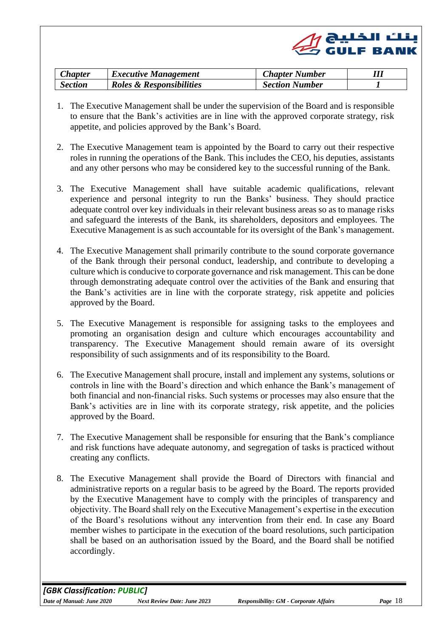|  | $\mathscr{Q}$ ونلٽ الخليج (CULF BANK |
|--|--------------------------------------|
|  |                                      |

<span id="page-17-0"></span>

| <b>Chapter</b> | <i>Executive Management</i> | <b>Chapter Number</b> |  |
|----------------|-----------------------------|-----------------------|--|
| Section        | Roles & Responsibilities    | <b>Section Number</b> |  |

- <span id="page-17-1"></span>1. The Executive Management shall be under the supervision of the Board and is responsible to ensure that the Bank's activities are in line with the approved corporate strategy, risk appetite, and policies approved by the Bank's Board.
- 2. The Executive Management team is appointed by the Board to carry out their respective roles in running the operations of the Bank. This includes the CEO, his deputies, assistants and any other persons who may be considered key to the successful running of the Bank.
- 3. The Executive Management shall have suitable academic qualifications, relevant experience and personal integrity to run the Banks' business. They should practice adequate control over key individuals in their relevant business areas so as to manage risks and safeguard the interests of the Bank, its shareholders, depositors and employees. The Executive Management is as such accountable for its oversight of the Bank's management.
- 4. The Executive Management shall primarily contribute to the sound corporate governance of the Bank through their personal conduct, leadership, and contribute to developing a culture which is conducive to corporate governance and risk management. This can be done through demonstrating adequate control over the activities of the Bank and ensuring that the Bank's activities are in line with the corporate strategy, risk appetite and policies approved by the Board.
- 5. The Executive Management is responsible for assigning tasks to the employees and promoting an organisation design and culture which encourages accountability and transparency. The Executive Management should remain aware of its oversight responsibility of such assignments and of its responsibility to the Board.
- 6. The Executive Management shall procure, install and implement any systems, solutions or controls in line with the Board's direction and which enhance the Bank's management of both financial and non-financial risks. Such systems or processes may also ensure that the Bank's activities are in line with its corporate strategy, risk appetite, and the policies approved by the Board.
- 7. The Executive Management shall be responsible for ensuring that the Bank's compliance and risk functions have adequate autonomy, and segregation of tasks is practiced without creating any conflicts.
- 8. The Executive Management shall provide the Board of Directors with financial and administrative reports on a regular basis to be agreed by the Board. The reports provided by the Executive Management have to comply with the principles of transparency and objectivity. The Board shall rely on the Executive Management's expertise in the execution of the Board's resolutions without any intervention from their end. In case any Board member wishes to participate in the execution of the board resolutions, such participation shall be based on an authorisation issued by the Board, and the Board shall be notified accordingly.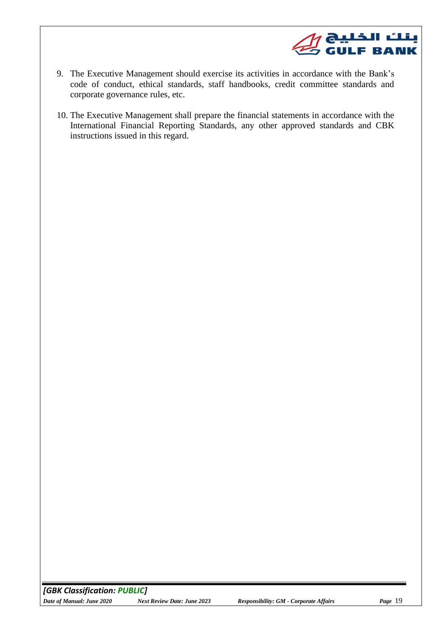

- 9. The Executive Management should exercise its activities in accordance with the Bank's code of conduct, ethical standards, staff handbooks, credit committee standards and corporate governance rules, etc.
- 10. The Executive Management shall prepare the financial statements in accordance with the International Financial Reporting Standards, any other approved standards and CBK instructions issued in this regard.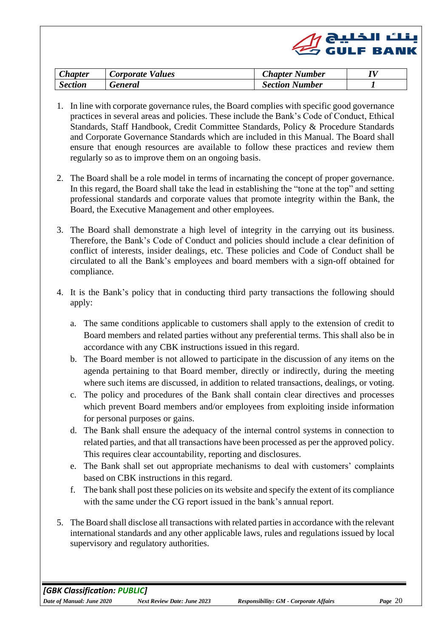<span id="page-19-0"></span>

| <b>Chapter</b> | Corporate Values | <b>Chapter Number</b> |  |
|----------------|------------------|-----------------------|--|
| <b>Section</b> | General          | <b>Section Number</b> |  |

- <span id="page-19-1"></span>1. In line with corporate governance rules, the Board complies with specific good governance practices in several areas and policies. These include the Bank's Code of Conduct, Ethical Standards, Staff Handbook, Credit Committee Standards, Policy & Procedure Standards and Corporate Governance Standards which are included in this Manual. The Board shall ensure that enough resources are available to follow these practices and review them regularly so as to improve them on an ongoing basis.
- 2. The Board shall be a role model in terms of incarnating the concept of proper governance. In this regard, the Board shall take the lead in establishing the "tone at the top" and setting professional standards and corporate values that promote integrity within the Bank, the Board, the Executive Management and other employees.
- 3. The Board shall demonstrate a high level of integrity in the carrying out its business. Therefore, the Bank's Code of Conduct and policies should include a clear definition of conflict of interests, insider dealings, etc. These policies and Code of Conduct shall be circulated to all the Bank's employees and board members with a sign-off obtained for compliance.
- 4. It is the Bank's policy that in conducting third party transactions the following should apply:
	- a. The same conditions applicable to customers shall apply to the extension of credit to Board members and related parties without any preferential terms. This shall also be in accordance with any CBK instructions issued in this regard.
	- b. The Board member is not allowed to participate in the discussion of any items on the agenda pertaining to that Board member, directly or indirectly, during the meeting where such items are discussed, in addition to related transactions, dealings, or voting.
	- c. The policy and procedures of the Bank shall contain clear directives and processes which prevent Board members and/or employees from exploiting inside information for personal purposes or gains.
	- d. The Bank shall ensure the adequacy of the internal control systems in connection to related parties, and that all transactions have been processed as per the approved policy. This requires clear accountability, reporting and disclosures.
	- e. The Bank shall set out appropriate mechanisms to deal with customers' complaints based on CBK instructions in this regard.
	- f. The bank shall post these policies on its website and specify the extent of its compliance with the same under the CG report issued in the bank's annual report.
- 5. The Board shall disclose all transactions with related parties in accordance with the relevant international standards and any other applicable laws, rules and regulations issued by local supervisory and regulatory authorities.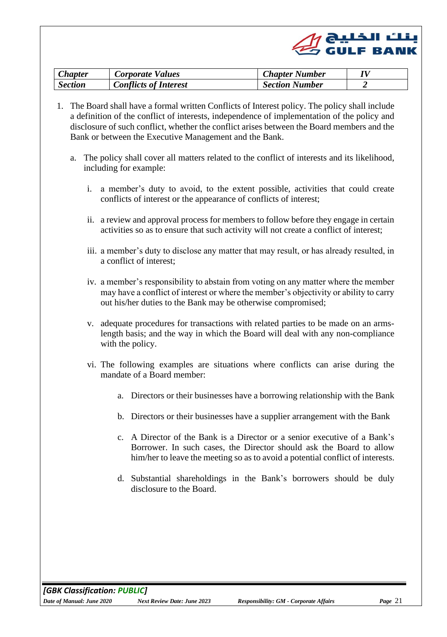|  | $\mathscr{Q}$ ابنلٹ الخلیج (Cy GULF BANK |
|--|------------------------------------------|
|  |                                          |

| <b>Chapter</b> | <b>Corporate Values</b>      | <b>Chapter Number</b> |  |
|----------------|------------------------------|-----------------------|--|
| <b>Section</b> | <b>Conflicts of Interest</b> | <b>Section Number</b> |  |

- <span id="page-20-0"></span>1. The Board shall have a formal written Conflicts of Interest policy. The policy shall include a definition of the conflict of interests, independence of implementation of the policy and disclosure of such conflict, whether the conflict arises between the Board members and the Bank or between the Executive Management and the Bank.
	- a. The policy shall cover all matters related to the conflict of interests and its likelihood, including for example:
		- i. a member's duty to avoid, to the extent possible, activities that could create conflicts of interest or the appearance of conflicts of interest;
		- ii. a review and approval process for members to follow before they engage in certain activities so as to ensure that such activity will not create a conflict of interest;
		- iii. a member's duty to disclose any matter that may result, or has already resulted, in a conflict of interest;
		- iv. a member's responsibility to abstain from voting on any matter where the member may have a conflict of interest or where the member's objectivity or ability to carry out his/her duties to the Bank may be otherwise compromised;
		- v. adequate procedures for transactions with related parties to be made on an armslength basis; and the way in which the Board will deal with any non-compliance with the policy.
		- vi. The following examples are situations where conflicts can arise during the mandate of a Board member:
			- a. Directors or their businesses have a borrowing relationship with the Bank
			- b. Directors or their businesses have a supplier arrangement with the Bank
			- c. A Director of the Bank is a Director or a senior executive of a Bank's Borrower. In such cases, the Director should ask the Board to allow him/her to leave the meeting so as to avoid a potential conflict of interests.
			- d. Substantial shareholdings in the Bank's borrowers should be duly disclosure to the Board.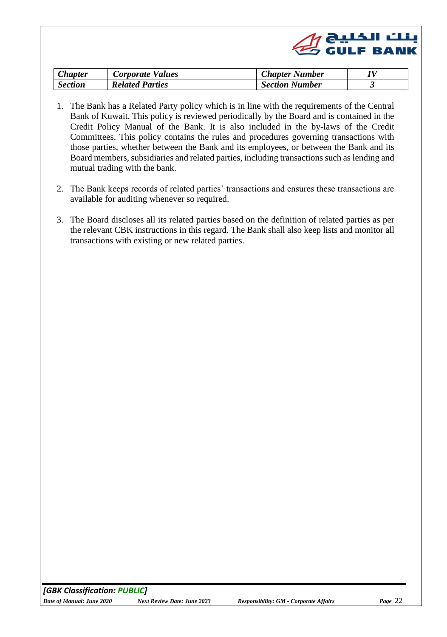|  | $\mathscr{Q}$ ابنلٹ الخلیج (Cy GULF BANK |
|--|------------------------------------------|
|  |                                          |

| <b>Chapter</b> | Corporate Values       | <b>Chapter Number</b> |  |
|----------------|------------------------|-----------------------|--|
| <b>Section</b> | <b>Related Parties</b> | <b>Section Number</b> |  |

- <span id="page-21-0"></span>1. The Bank has a Related Party policy which is in line with the requirements of the Central Bank of Kuwait. This policy is reviewed periodically by the Board and is contained in the Credit Policy Manual of the Bank. It is also included in the by-laws of the Credit Committees. This policy contains the rules and procedures governing transactions with those parties, whether between the Bank and its employees, or between the Bank and its Board members, subsidiaries and related parties, including transactions such as lending and mutual trading with the bank.
- 2. The Bank keeps records of related parties' transactions and ensures these transactions are available for auditing whenever so required.
- 3. The Board discloses all its related parties based on the definition of related parties as per the relevant CBK instructions in this regard. The Bank shall also keep lists and monitor all transactions with existing or new related parties.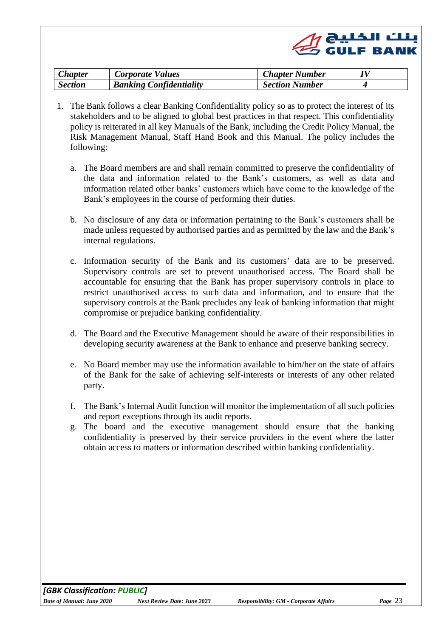

| <b>Chapter</b> | <b>Corporate Values</b>        | <b>Chapter Number</b> |  |
|----------------|--------------------------------|-----------------------|--|
| <b>Section</b> | <b>Banking Confidentiality</b> | <b>Section Number</b> |  |

- <span id="page-22-0"></span>1. The Bank follows a clear Banking Confidentiality policy so as to protect the interest of its stakeholders and to be aligned to global best practices in that respect. This confidentiality policy is reiterated in all key Manuals of the Bank, including the Credit Policy Manual, the Risk Management Manual, Staff Hand Book and this Manual. The policy includes the following:
	- a. The Board members are and shall remain committed to preserve the confidentiality of the data and information related to the Bank's customers, as well as data and information related other banks' customers which have come to the knowledge of the Bank's employees in the course of performing their duties.
	- b. No disclosure of any data or information pertaining to the Bank's customers shall be made unless requested by authorised parties and as permitted by the law and the Bank's internal regulations.
	- c. Information security of the Bank and its customers' data are to be preserved. Supervisory controls are set to prevent unauthorised access. The Board shall be accountable for ensuring that the Bank has proper supervisory controls in place to restrict unauthorised access to such data and information, and to ensure that the supervisory controls at the Bank precludes any leak of banking information that might compromise or prejudice banking confidentiality.
	- d. The Board and the Executive Management should be aware of their responsibilities in developing security awareness at the Bank to enhance and preserve banking secrecy.
	- e. No Board member may use the information available to him/her on the state of affairs of the Bank for the sake of achieving self-interests or interests of any other related party.
	- f. The Bank's Internal Audit function will monitor the implementation of all such policies and report exceptions through its audit reports.
	- g. The board and the executive management should ensure that the banking confidentiality is preserved by their service providers in the event where the latter obtain access to matters or information described within banking confidentiality.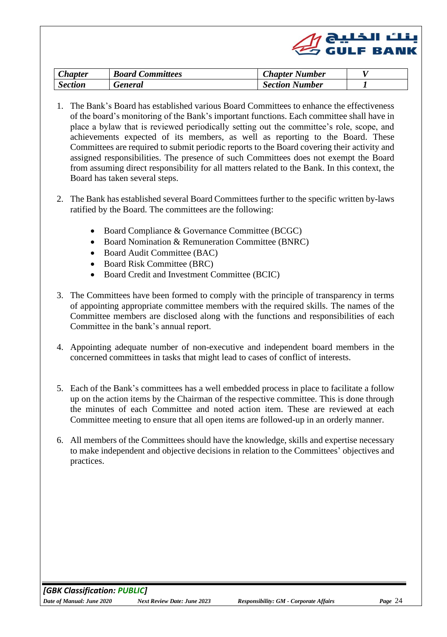<span id="page-23-0"></span>

| <i><b>Chapter</b></i> | <b>Board Committees</b> | <b>Chapter Number</b> |  |
|-----------------------|-------------------------|-----------------------|--|
| <b>Section</b>        | General                 | <b>Section Number</b> |  |

بنك الخليج<br>GULF BANK ت

- <span id="page-23-1"></span>1. The Bank's Board has established various Board Committees to enhance the effectiveness of the board's monitoring of the Bank's important functions. Each committee shall have in place a bylaw that is reviewed periodically setting out the committee's role, scope, and achievements expected of its members, as well as reporting to the Board. These Committees are required to submit periodic reports to the Board covering their activity and assigned responsibilities. The presence of such Committees does not exempt the Board from assuming direct responsibility for all matters related to the Bank. In this context, the Board has taken several steps.
- 2. The Bank has established several Board Committees further to the specific written by-laws ratified by the Board. The committees are the following:
	- Board Compliance & Governance Committee (BCGC)
	- Board Nomination & Remuneration Committee (BNRC)
	- Board Audit Committee (BAC)
	- Board Risk Committee (BRC)
	- Board Credit and Investment Committee (BCIC)
- 3. The Committees have been formed to comply with the principle of transparency in terms of appointing appropriate committee members with the required skills. The names of the Committee members are disclosed along with the functions and responsibilities of each Committee in the bank's annual report.
- 4. Appointing adequate number of non-executive and independent board members in the concerned committees in tasks that might lead to cases of conflict of interests.
- 5. Each of the Bank's committees has a well embedded process in place to facilitate a follow up on the action items by the Chairman of the respective committee. This is done through the minutes of each Committee and noted action item. These are reviewed at each Committee meeting to ensure that all open items are followed-up in an orderly manner.
- 6. All members of the Committees should have the knowledge, skills and expertise necessary to make independent and objective decisions in relation to the Committees' objectives and practices.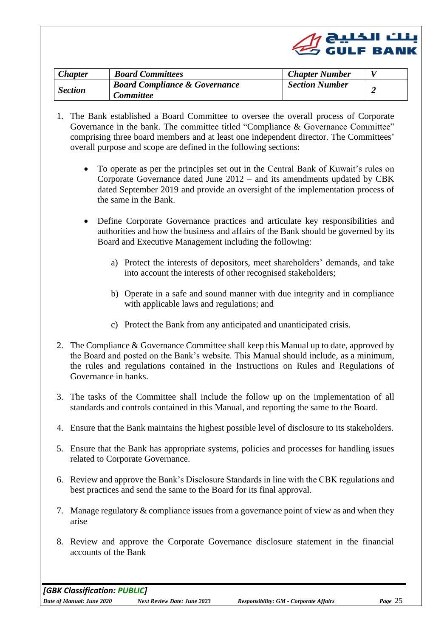

<span id="page-24-0"></span>

| <b>Chapter</b> | <b>Board Committees</b>                  | <b>Chapter Number</b> |  |
|----------------|------------------------------------------|-----------------------|--|
|                | <b>Board Compliance &amp; Governance</b> | <b>Section Number</b> |  |
| <b>Section</b> | <i>Committee</i>                         |                       |  |

- 1. The Bank established a Board Committee to oversee the overall process of Corporate Governance in the bank. The committee titled "Compliance & Governance Committee" comprising three board members and at least one independent director. The Committees' overall purpose and scope are defined in the following sections:
	- To operate as per the principles set out in the Central Bank of Kuwait's rules on Corporate Governance dated June 2012 – and its amendments updated by CBK dated September 2019 and provide an oversight of the implementation process of the same in the Bank.
	- Define Corporate Governance practices and articulate key responsibilities and authorities and how the business and affairs of the Bank should be governed by its Board and Executive Management including the following:
		- a) Protect the interests of depositors, meet shareholders' demands, and take into account the interests of other recognised stakeholders;
		- b) Operate in a safe and sound manner with due integrity and in compliance with applicable laws and regulations; and
		- c) Protect the Bank from any anticipated and unanticipated crisis.
- 2. The Compliance & Governance Committee shall keep this Manual up to date, approved by the Board and posted on the Bank's website. This Manual should include, as a minimum, the rules and regulations contained in the Instructions on Rules and Regulations of Governance in banks.
- 3. The tasks of the Committee shall include the follow up on the implementation of all standards and controls contained in this Manual, and reporting the same to the Board.
- 4. Ensure that the Bank maintains the highest possible level of disclosure to its stakeholders.
- 5. Ensure that the Bank has appropriate systems, policies and processes for handling issues related to Corporate Governance.
- 6. Review and approve the Bank's Disclosure Standards in line with the CBK regulations and best practices and send the same to the Board for its final approval.
- 7. Manage regulatory & compliance issues from a governance point of view as and when they arise
- 8. Review and approve the Corporate Governance disclosure statement in the financial accounts of the Bank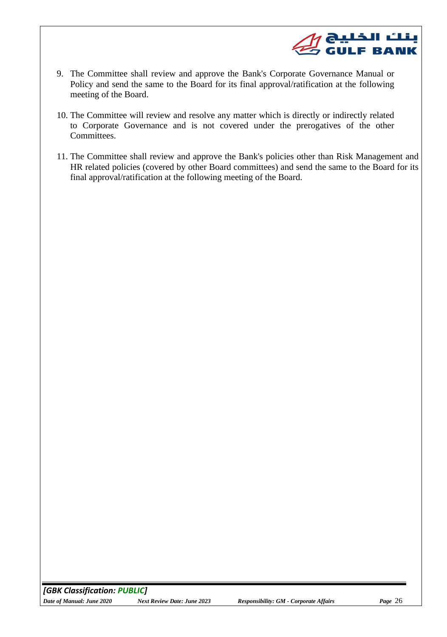

- 9. The Committee shall review and approve the Bank's Corporate Governance Manual or Policy and send the same to the Board for its final approval/ratification at the following meeting of the Board.
- 10. The Committee will review and resolve any matter which is directly or indirectly related to Corporate Governance and is not covered under the prerogatives of the other Committees.
- 11. The Committee shall review and approve the Bank's policies other than Risk Management and HR related policies (covered by other Board committees) and send the same to the Board for its final approval/ratification at the following meeting of the Board.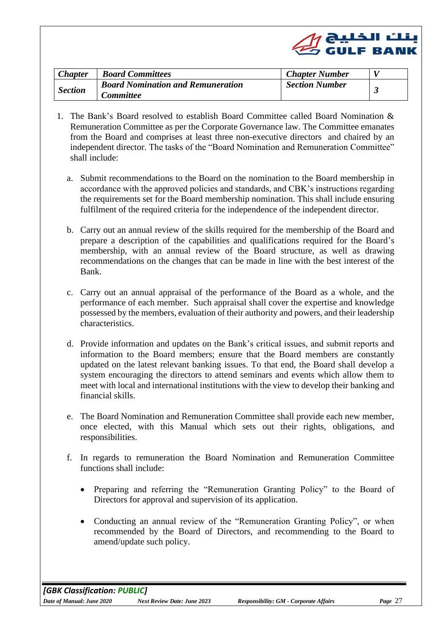

<span id="page-26-0"></span>

| <b>Chapter</b> | <b>Board Committees</b>                  | <b>Chapter Number</b> |  |
|----------------|------------------------------------------|-----------------------|--|
| <b>Section</b> | <b>Board Nomination and Remuneration</b> | <b>Section Number</b> |  |
|                | <i>Committee</i>                         |                       |  |

- 1. The Bank's Board resolved to establish Board Committee called Board Nomination & Remuneration Committee as per the Corporate Governance law. The Committee emanates from the Board and comprises at least three non-executive directors and chaired by an independent director. The tasks of the "Board Nomination and Remuneration Committee" shall include:
	- a. Submit recommendations to the Board on the nomination to the Board membership in accordance with the approved policies and standards, and CBK's instructions regarding the requirements set for the Board membership nomination. This shall include ensuring fulfilment of the required criteria for the independence of the independent director.
	- b. Carry out an annual review of the skills required for the membership of the Board and prepare a description of the capabilities and qualifications required for the Board's membership, with an annual review of the Board structure, as well as drawing recommendations on the changes that can be made in line with the best interest of the Bank.
	- c. Carry out an annual appraisal of the performance of the Board as a whole, and the performance of each member. Such appraisal shall cover the expertise and knowledge possessed by the members, evaluation of their authority and powers, and their leadership characteristics.
	- d. Provide information and updates on the Bank's critical issues, and submit reports and information to the Board members; ensure that the Board members are constantly updated on the latest relevant banking issues. To that end, the Board shall develop a system encouraging the directors to attend seminars and events which allow them to meet with local and international institutions with the view to develop their banking and financial skills.
	- e. The Board Nomination and Remuneration Committee shall provide each new member, once elected, with this Manual which sets out their rights, obligations, and responsibilities.
	- f. In regards to remuneration the Board Nomination and Remuneration Committee functions shall include:
		- Preparing and referring the "Remuneration Granting Policy" to the Board of Directors for approval and supervision of its application.
		- Conducting an annual review of the "Remuneration Granting Policy", or when recommended by the Board of Directors, and recommending to the Board to amend/update such policy.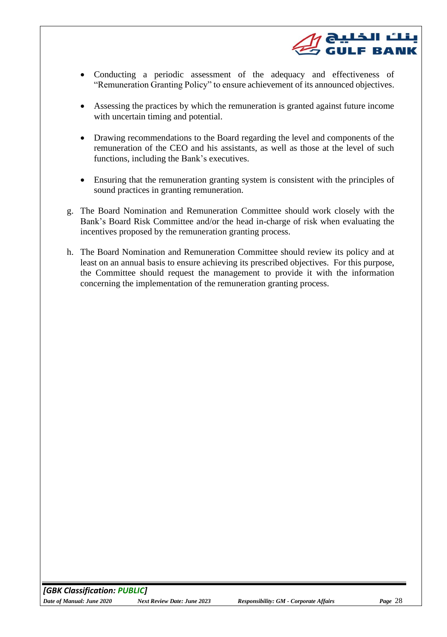

- Conducting a periodic assessment of the adequacy and effectiveness of "Remuneration Granting Policy" to ensure achievement of its announced objectives.
- Assessing the practices by which the remuneration is granted against future income with uncertain timing and potential.
- Drawing recommendations to the Board regarding the level and components of the remuneration of the CEO and his assistants, as well as those at the level of such functions, including the Bank's executives.
- Ensuring that the remuneration granting system is consistent with the principles of sound practices in granting remuneration.
- g. The Board Nomination and Remuneration Committee should work closely with the Bank's Board Risk Committee and/or the head in-charge of risk when evaluating the incentives proposed by the remuneration granting process.
- h. The Board Nomination and Remuneration Committee should review its policy and at least on an annual basis to ensure achieving its prescribed objectives. For this purpose, the Committee should request the management to provide it with the information concerning the implementation of the remuneration granting process.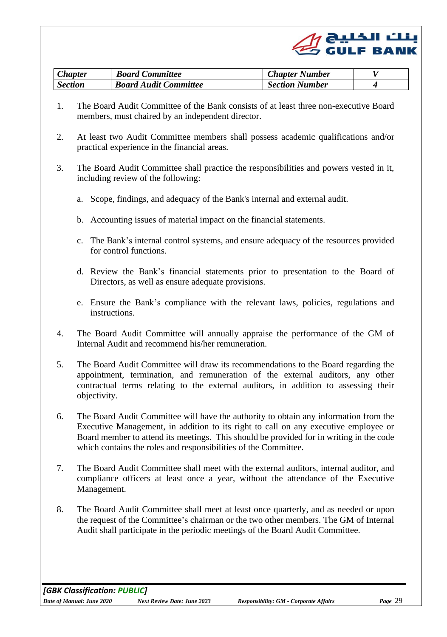

| <b>Chapter</b> | <b>Board Committee</b>       | <b>Chapter Number</b> |  |
|----------------|------------------------------|-----------------------|--|
| <b>Section</b> | <b>Board Audit Committee</b> | <b>Section Number</b> |  |

- <span id="page-28-0"></span>1. The Board Audit Committee of the Bank consists of at least three non-executive Board members, must chaired by an independent director.
- 2. At least two Audit Committee members shall possess academic qualifications and/or practical experience in the financial areas.
- 3. The Board Audit Committee shall practice the responsibilities and powers vested in it, including review of the following:
	- a. Scope, findings, and adequacy of the Bank's internal and external audit.
	- b. Accounting issues of material impact on the financial statements.
	- c. The Bank's internal control systems, and ensure adequacy of the resources provided for control functions.
	- d. Review the Bank's financial statements prior to presentation to the Board of Directors, as well as ensure adequate provisions.
	- e. Ensure the Bank's compliance with the relevant laws, policies, regulations and instructions.
- 4. The Board Audit Committee will annually appraise the performance of the GM of Internal Audit and recommend his/her remuneration.
- 5. The Board Audit Committee will draw its recommendations to the Board regarding the appointment, termination, and remuneration of the external auditors, any other contractual terms relating to the external auditors, in addition to assessing their objectivity.
- 6. The Board Audit Committee will have the authority to obtain any information from the Executive Management, in addition to its right to call on any executive employee or Board member to attend its meetings. This should be provided for in writing in the code which contains the roles and responsibilities of the Committee.
- 7. The Board Audit Committee shall meet with the external auditors, internal auditor, and compliance officers at least once a year, without the attendance of the Executive Management.
- 8. The Board Audit Committee shall meet at least once quarterly, and as needed or upon the request of the Committee's chairman or the two other members. The GM of Internal Audit shall participate in the periodic meetings of the Board Audit Committee.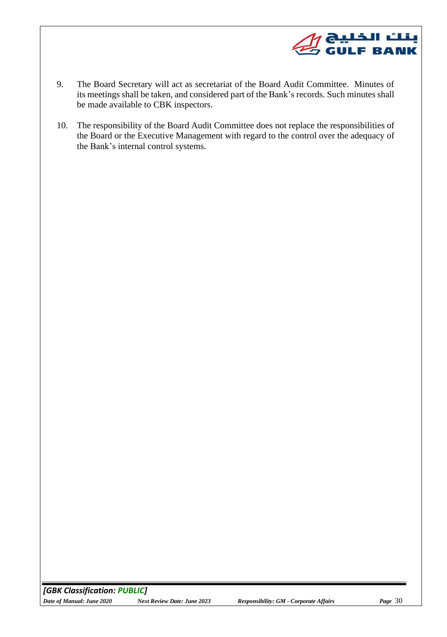

- 9. The Board Secretary will act as secretariat of the Board Audit Committee. Minutes of its meetings shall be taken, and considered part of the Bank's records. Such minutes shall be made available to CBK inspectors.
- 10. The responsibility of the Board Audit Committee does not replace the responsibilities of the Board or the Executive Management with regard to the control over the adequacy of the Bank's internal control systems.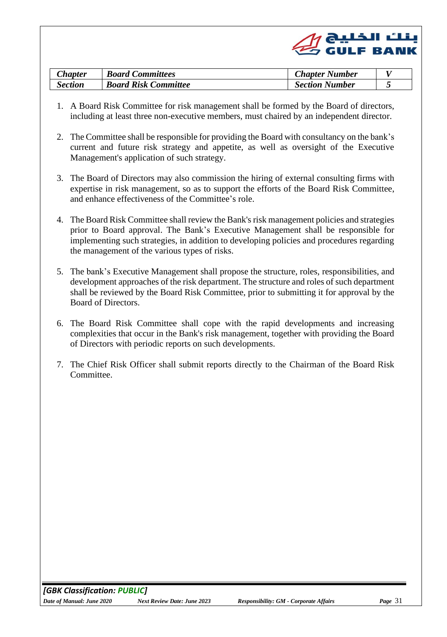

| <b>Chapter</b> | <b>Board Committees</b>     | <b>Chapter Number</b> |                          |
|----------------|-----------------------------|-----------------------|--------------------------|
| Section        | <b>Board Risk Committee</b> | <b>Section Number</b> | $\overline{\phantom{a}}$ |

- <span id="page-30-0"></span>1. A Board Risk Committee for risk management shall be formed by the Board of directors, including at least three non-executive members, must chaired by an independent director.
- 2. The Committee shall be responsible for providing the Board with consultancy on the bank's current and future risk strategy and appetite, as well as oversight of the Executive Management's application of such strategy.
- 3. The Board of Directors may also commission the hiring of external consulting firms with expertise in risk management, so as to support the efforts of the Board Risk Committee, and enhance effectiveness of the Committee's role.
- 4. The Board Risk Committee shall review the Bank's risk management policies and strategies prior to Board approval. The Bank's Executive Management shall be responsible for implementing such strategies, in addition to developing policies and procedures regarding the management of the various types of risks.
- 5. The bank's Executive Management shall propose the structure, roles, responsibilities, and development approaches of the risk department. The structure and roles of such department shall be reviewed by the Board Risk Committee, prior to submitting it for approval by the Board of Directors.
- 6. The Board Risk Committee shall cope with the rapid developments and increasing complexities that occur in the Bank's risk management, together with providing the Board of Directors with periodic reports on such developments.
- 7. The Chief Risk Officer shall submit reports directly to the Chairman of the Board Risk Committee.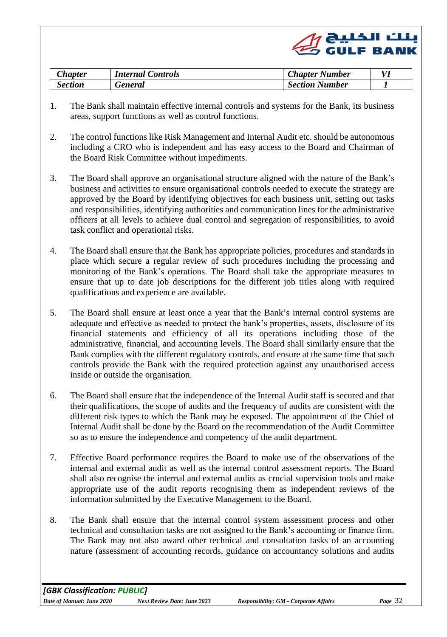|  | $\mathscr{Q}$ ونلٽ الخليج (CuLF BANK |
|--|--------------------------------------|
|  |                                      |

<span id="page-31-1"></span><span id="page-31-0"></span>

| <b>Chapter</b> | <i>Internal Controls</i> | <b>Chapter Number</b> |  |
|----------------|--------------------------|-----------------------|--|
| Section        | <b>Teneral</b>           | <b>Section Number</b> |  |

- 1. The Bank shall maintain effective internal controls and systems for the Bank, its business areas, support functions as well as control functions.
- 2. The control functions like Risk Management and Internal Audit etc. should be autonomous including a CRO who is independent and has easy access to the Board and Chairman of the Board Risk Committee without impediments.
- 3. The Board shall approve an organisational structure aligned with the nature of the Bank's business and activities to ensure organisational controls needed to execute the strategy are approved by the Board by identifying objectives for each business unit, setting out tasks and responsibilities, identifying authorities and communication lines for the administrative officers at all levels to achieve dual control and segregation of responsibilities, to avoid task conflict and operational risks.
- 4. The Board shall ensure that the Bank has appropriate policies, procedures and standards in place which secure a regular review of such procedures including the processing and monitoring of the Bank's operations. The Board shall take the appropriate measures to ensure that up to date job descriptions for the different job titles along with required qualifications and experience are available.
- 5. The Board shall ensure at least once a year that the Bank's internal control systems are adequate and effective as needed to protect the bank's properties, assets, disclosure of its financial statements and efficiency of all its operations including those of the administrative, financial, and accounting levels. The Board shall similarly ensure that the Bank complies with the different regulatory controls, and ensure at the same time that such controls provide the Bank with the required protection against any unauthorised access inside or outside the organisation.
- 6. The Board shall ensure that the independence of the Internal Audit staff is secured and that their qualifications, the scope of audits and the frequency of audits are consistent with the different risk types to which the Bank may be exposed. The appointment of the Chief of Internal Audit shall be done by the Board on the recommendation of the Audit Committee so as to ensure the independence and competency of the audit department.
- 7. Effective Board performance requires the Board to make use of the observations of the internal and external audit as well as the internal control assessment reports. The Board shall also recognise the internal and external audits as crucial supervision tools and make appropriate use of the audit reports recognising them as independent reviews of the information submitted by the Executive Management to the Board.
- 8. The Bank shall ensure that the internal control system assessment process and other technical and consultation tasks are not assigned to the Bank's accounting or finance firm. The Bank may not also award other technical and consultation tasks of an accounting nature (assessment of accounting records, guidance on accountancy solutions and audits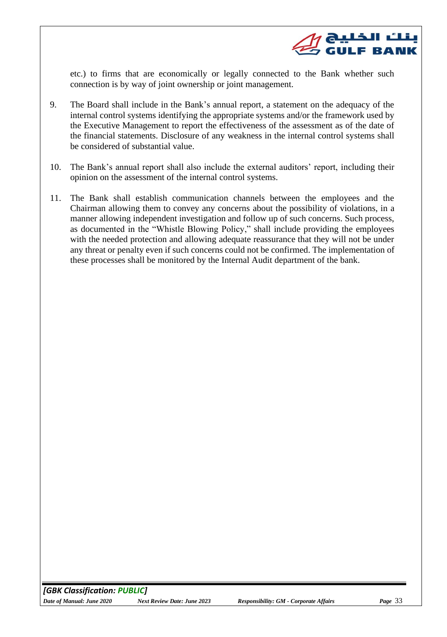

etc.) to firms that are economically or legally connected to the Bank whether such connection is by way of joint ownership or joint management.

- 9. The Board shall include in the Bank's annual report, a statement on the adequacy of the internal control systems identifying the appropriate systems and/or the framework used by the Executive Management to report the effectiveness of the assessment as of the date of the financial statements. Disclosure of any weakness in the internal control systems shall be considered of substantial value.
- 10. The Bank's annual report shall also include the external auditors' report, including their opinion on the assessment of the internal control systems.
- 11. The Bank shall establish communication channels between the employees and the Chairman allowing them to convey any concerns about the possibility of violations, in a manner allowing independent investigation and follow up of such concerns. Such process, as documented in the "Whistle Blowing Policy," shall include providing the employees with the needed protection and allowing adequate reassurance that they will not be under any threat or penalty even if such concerns could not be confirmed. The implementation of these processes shall be monitored by the Internal Audit department of the bank.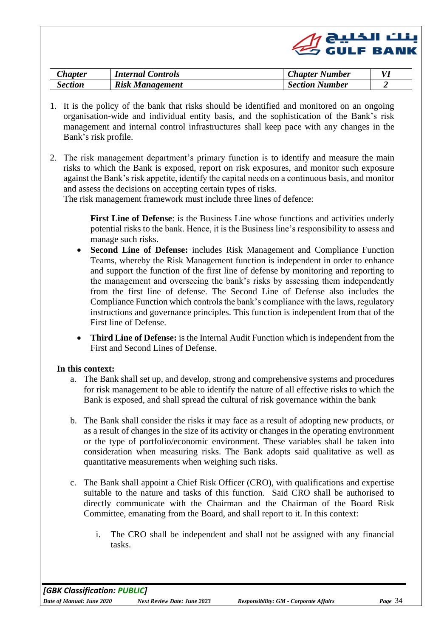|  | $\mathscr{Q}$ ونلٹ الخلیج (CuLF BANK |
|--|--------------------------------------|
|  |                                      |

<span id="page-33-0"></span>

| <b>Chapter</b> | <i>Internal Controls</i> | <b>Chapter Number</b> |  |
|----------------|--------------------------|-----------------------|--|
| Section        | <b>Risk Management</b>   | <b>Section Number</b> |  |

- 1. It is the policy of the bank that risks should be identified and monitored on an ongoing organisation-wide and individual entity basis, and the sophistication of the Bank's risk management and internal control infrastructures shall keep pace with any changes in the Bank's risk profile.
- 2. The risk management department's primary function is to identify and measure the main risks to which the Bank is exposed, report on risk exposures, and monitor such exposure against the Bank's risk appetite, identify the capital needs on a continuous basis, and monitor and assess the decisions on accepting certain types of risks.

The risk management framework must include three lines of defence:

**First Line of Defense**: is the Business Line whose functions and activities underly potential risks to the bank. Hence, it is the Business line's responsibility to assess and manage such risks.

- **Second Line of Defense:** includes Risk Management and Compliance Function Teams, whereby the Risk Management function is independent in order to enhance and support the function of the first line of defense by monitoring and reporting to the management and overseeing the bank's risks by assessing them independently from the first line of defense. The Second Line of Defense also includes the Compliance Function which controls the bank's compliance with the laws, regulatory instructions and governance principles. This function is independent from that of the First line of Defense.
- **Third Line of Defense:** is the Internal Audit Function which is independent from the First and Second Lines of Defense.

#### **In this context:**

- a. The Bank shall set up, and develop, strong and comprehensive systems and procedures for risk management to be able to identify the nature of all effective risks to which the Bank is exposed, and shall spread the cultural of risk governance within the bank
- b. The Bank shall consider the risks it may face as a result of adopting new products, or as a result of changes in the size of its activity or changes in the operating environment or the type of portfolio/economic environment. These variables shall be taken into consideration when measuring risks. The Bank adopts said qualitative as well as quantitative measurements when weighing such risks.
- c. The Bank shall appoint a Chief Risk Officer (CRO), with qualifications and expertise suitable to the nature and tasks of this function. Said CRO shall be authorised to directly communicate with the Chairman and the Chairman of the Board Risk Committee, emanating from the Board, and shall report to it. In this context:
	- i. The CRO shall be independent and shall not be assigned with any financial tasks.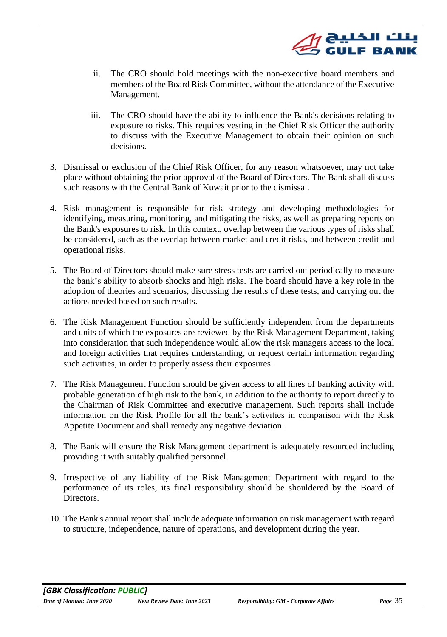

- ii. The CRO should hold meetings with the non-executive board members and members of the Board Risk Committee, without the attendance of the Executive Management.
- iii. The CRO should have the ability to influence the Bank's decisions relating to exposure to risks. This requires vesting in the Chief Risk Officer the authority to discuss with the Executive Management to obtain their opinion on such decisions.
- 3. Dismissal or exclusion of the Chief Risk Officer, for any reason whatsoever, may not take place without obtaining the prior approval of the Board of Directors. The Bank shall discuss such reasons with the Central Bank of Kuwait prior to the dismissal.
- 4. Risk management is responsible for risk strategy and developing methodologies for identifying, measuring, monitoring, and mitigating the risks, as well as preparing reports on the Bank's exposures to risk. In this context, overlap between the various types of risks shall be considered, such as the overlap between market and credit risks, and between credit and operational risks.
- 5. The Board of Directors should make sure stress tests are carried out periodically to measure the bank's ability to absorb shocks and high risks. The board should have a key role in the adoption of theories and scenarios, discussing the results of these tests, and carrying out the actions needed based on such results.
- 6. The Risk Management Function should be sufficiently independent from the departments and units of which the exposures are reviewed by the Risk Management Department, taking into consideration that such independence would allow the risk managers access to the local and foreign activities that requires understanding, or request certain information regarding such activities, in order to properly assess their exposures.
- 7. The Risk Management Function should be given access to all lines of banking activity with probable generation of high risk to the bank, in addition to the authority to report directly to the Chairman of Risk Committee and executive management. Such reports shall include information on the Risk Profile for all the bank's activities in comparison with the Risk Appetite Document and shall remedy any negative deviation.
- 8. The Bank will ensure the Risk Management department is adequately resourced including providing it with suitably qualified personnel.
- 9. Irrespective of any liability of the Risk Management Department with regard to the performance of its roles, its final responsibility should be shouldered by the Board of Directors.
- 10. The Bank's annual report shall include adequate information on risk management with regard to structure, independence, nature of operations, and development during the year.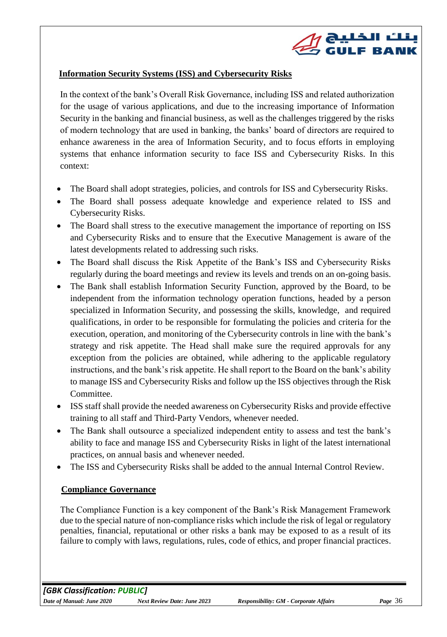

## **Information Security Systems (ISS) and Cybersecurity Risks**

In the context of the bank's Overall Risk Governance, including ISS and related authorization for the usage of various applications, and due to the increasing importance of Information Security in the banking and financial business, as well as the challenges triggered by the risks of modern technology that are used in banking, the banks' board of directors are required to enhance awareness in the area of Information Security, and to focus efforts in employing systems that enhance information security to face ISS and Cybersecurity Risks. In this context:

- The Board shall adopt strategies, policies, and controls for ISS and Cybersecurity Risks.
- The Board shall possess adequate knowledge and experience related to ISS and Cybersecurity Risks.
- The Board shall stress to the executive management the importance of reporting on ISS and Cybersecurity Risks and to ensure that the Executive Management is aware of the latest developments related to addressing such risks.
- The Board shall discuss the Risk Appetite of the Bank's ISS and Cybersecurity Risks regularly during the board meetings and review its levels and trends on an on-going basis.
- The Bank shall establish Information Security Function, approved by the Board, to be independent from the information technology operation functions, headed by a person specialized in Information Security, and possessing the skills, knowledge, and required qualifications, in order to be responsible for formulating the policies and criteria for the execution, operation, and monitoring of the Cybersecurity controls in line with the bank's strategy and risk appetite. The Head shall make sure the required approvals for any exception from the policies are obtained, while adhering to the applicable regulatory instructions, and the bank's risk appetite. He shall report to the Board on the bank's ability to manage ISS and Cybersecurity Risks and follow up the ISS objectives through the Risk Committee.
- ISS staff shall provide the needed awareness on Cybersecurity Risks and provide effective training to all staff and Third-Party Vendors, whenever needed.
- The Bank shall outsource a specialized independent entity to assess and test the bank's ability to face and manage ISS and Cybersecurity Risks in light of the latest international practices, on annual basis and whenever needed.
- The ISS and Cybersecurity Risks shall be added to the annual Internal Control Review.

#### **Compliance Governance**

The Compliance Function is a key component of the Bank's Risk Management Framework due to the special nature of non-compliance risks which include the risk of legal or regulatory penalties, financial, reputational or other risks a bank may be exposed to as a result of its failure to comply with laws, regulations, rules, code of ethics, and proper financial practices.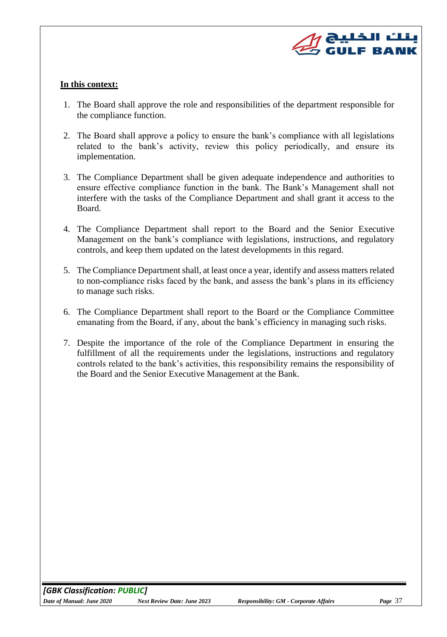

#### **In this context:**

- 1. The Board shall approve the role and responsibilities of the department responsible for the compliance function.
- 2. The Board shall approve a policy to ensure the bank's compliance with all legislations related to the bank's activity, review this policy periodically, and ensure its implementation.
- 3. The Compliance Department shall be given adequate independence and authorities to ensure effective compliance function in the bank. The Bank's Management shall not interfere with the tasks of the Compliance Department and shall grant it access to the Board.
- 4. The Compliance Department shall report to the Board and the Senior Executive Management on the bank's compliance with legislations, instructions, and regulatory controls, and keep them updated on the latest developments in this regard.
- 5. The Compliance Department shall, at least once a year, identify and assess matters related to non-compliance risks faced by the bank, and assess the bank's plans in its efficiency to manage such risks.
- 6. The Compliance Department shall report to the Board or the Compliance Committee emanating from the Board, if any, about the bank's efficiency in managing such risks.
- 7. Despite the importance of the role of the Compliance Department in ensuring the fulfillment of all the requirements under the legislations, instructions and regulatory controls related to the bank's activities, this responsibility remains the responsibility of the Board and the Senior Executive Management at the Bank.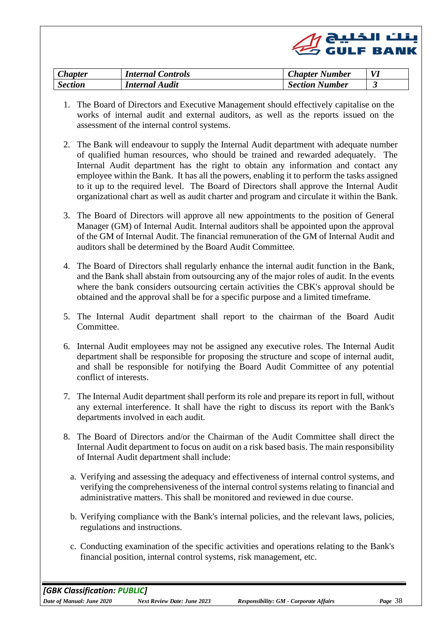

| $\mathcal{L}$ hapter | <b>Internal Controls</b> | <b>Chapter Number</b> | VI |
|----------------------|--------------------------|-----------------------|----|
| <b>Section</b>       | <b>Internal Audit</b>    | <b>Section Number</b> |    |

- <span id="page-37-0"></span>1. The Board of Directors and Executive Management should effectively capitalise on the works of internal audit and external auditors, as well as the reports issued on the assessment of the internal control systems.
- 2. The Bank will endeavour to supply the Internal Audit department with adequate number of qualified human resources, who should be trained and rewarded adequately. The Internal Audit department has the right to obtain any information and contact any employee within the Bank. It has all the powers, enabling it to perform the tasks assigned to it up to the required level. The Board of Directors shall approve the Internal Audit organizational chart as well as audit charter and program and circulate it within the Bank.
- 3. The Board of Directors will approve all new appointments to the position of General Manager (GM) of Internal Audit. Internal auditors shall be appointed upon the approval of the GM of Internal Audit. The financial remuneration of the GM of Internal Audit and auditors shall be determined by the Board Audit Committee.
- 4. The Board of Directors shall regularly enhance the internal audit function in the Bank, and the Bank shall abstain from outsourcing any of the major roles of audit. In the events where the bank considers outsourcing certain activities the CBK's approval should be obtained and the approval shall be for a specific purpose and a limited timeframe.
- 5. The Internal Audit department shall report to the chairman of the Board Audit Committee.
- 6. Internal Audit employees may not be assigned any executive roles. The Internal Audit department shall be responsible for proposing the structure and scope of internal audit, and shall be responsible for notifying the Board Audit Committee of any potential conflict of interests.
- 7. The Internal Audit department shall perform its role and prepare its report in full, without any external interference. It shall have the right to discuss its report with the Bank's departments involved in each audit.
- 8. The Board of Directors and/or the Chairman of the Audit Committee shall direct the Internal Audit department to focus on audit on a risk based basis. The main responsibility of Internal Audit department shall include:
	- a. Verifying and assessing the adequacy and effectiveness of internal control systems, and verifying the comprehensiveness of the internal control systems relating to financial and administrative matters. This shall be monitored and reviewed in due course.
	- b. Verifying compliance with the Bank's internal policies, and the relevant laws, policies, regulations and instructions.
	- c. Conducting examination of the specific activities and operations relating to the Bank's financial position, internal control systems, risk management, etc.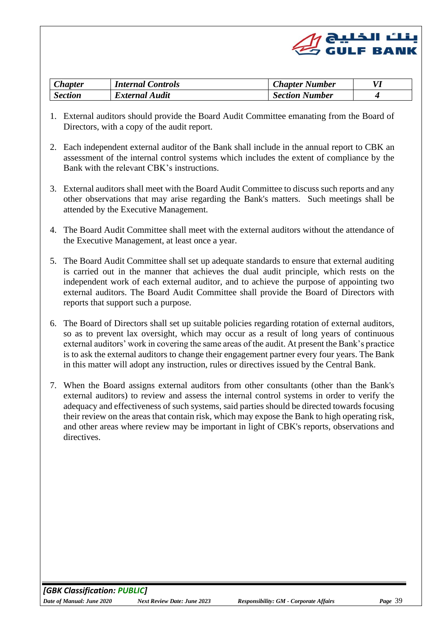

<span id="page-38-0"></span>

| <b>Chapter</b> | <b>Internal Controls</b> | <b>Chapter Number</b> |  |
|----------------|--------------------------|-----------------------|--|
| <b>Section</b> | <b>External Audit</b>    | <b>Section Number</b> |  |

- 1. External auditors should provide the Board Audit Committee emanating from the Board of Directors, with a copy of the audit report.
- 2. Each independent external auditor of the Bank shall include in the annual report to CBK an assessment of the internal control systems which includes the extent of compliance by the Bank with the relevant CBK's instructions.
- 3. External auditors shall meet with the Board Audit Committee to discuss such reports and any other observations that may arise regarding the Bank's matters. Such meetings shall be attended by the Executive Management.
- 4. The Board Audit Committee shall meet with the external auditors without the attendance of the Executive Management, at least once a year.
- 5. The Board Audit Committee shall set up adequate standards to ensure that external auditing is carried out in the manner that achieves the dual audit principle, which rests on the independent work of each external auditor, and to achieve the purpose of appointing two external auditors. The Board Audit Committee shall provide the Board of Directors with reports that support such a purpose.
- 6. The Board of Directors shall set up suitable policies regarding rotation of external auditors, so as to prevent lax oversight, which may occur as a result of long years of continuous external auditors' work in covering the same areas of the audit. At present the Bank's practice is to ask the external auditors to change their engagement partner every four years. The Bank in this matter will adopt any instruction, rules or directives issued by the Central Bank.
- 7. When the Board assigns external auditors from other consultants (other than the Bank's external auditors) to review and assess the internal control systems in order to verify the adequacy and effectiveness of such systems, said parties should be directed towards focusing their review on the areas that contain risk, which may expose the Bank to high operating risk, and other areas where review may be important in light of CBK's reports, observations and directives.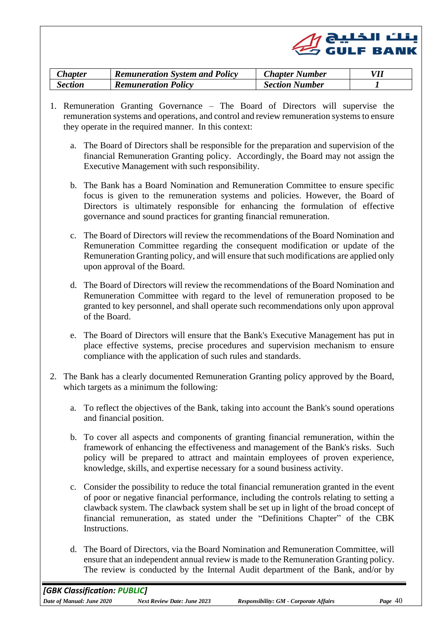

<span id="page-39-1"></span><span id="page-39-0"></span>

| <i>Chapter</i> | <b>Remuneration System and Policy</b> | <b>Chapter Number</b> |  |
|----------------|---------------------------------------|-----------------------|--|
| Section        | <b>Remuneration Policy</b>            | <b>Section Number</b> |  |

- 1. Remuneration Granting Governance The Board of Directors will supervise the remuneration systems and operations, and control and review remuneration systems to ensure they operate in the required manner. In this context:
	- a. The Board of Directors shall be responsible for the preparation and supervision of the financial Remuneration Granting policy. Accordingly, the Board may not assign the Executive Management with such responsibility.
	- b. The Bank has a Board Nomination and Remuneration Committee to ensure specific focus is given to the remuneration systems and policies. However, the Board of Directors is ultimately responsible for enhancing the formulation of effective governance and sound practices for granting financial remuneration.
	- c. The Board of Directors will review the recommendations of the Board Nomination and Remuneration Committee regarding the consequent modification or update of the Remuneration Granting policy, and will ensure that such modifications are applied only upon approval of the Board.
	- d. The Board of Directors will review the recommendations of the Board Nomination and Remuneration Committee with regard to the level of remuneration proposed to be granted to key personnel, and shall operate such recommendations only upon approval of the Board.
	- e. The Board of Directors will ensure that the Bank's Executive Management has put in place effective systems, precise procedures and supervision mechanism to ensure compliance with the application of such rules and standards.
- 2. The Bank has a clearly documented Remuneration Granting policy approved by the Board, which targets as a minimum the following:
	- a. To reflect the objectives of the Bank, taking into account the Bank's sound operations and financial position.
	- b. To cover all aspects and components of granting financial remuneration, within the framework of enhancing the effectiveness and management of the Bank's risks. Such policy will be prepared to attract and maintain employees of proven experience, knowledge, skills, and expertise necessary for a sound business activity.
	- c. Consider the possibility to reduce the total financial remuneration granted in the event of poor or negative financial performance, including the controls relating to setting a clawback system. The clawback system shall be set up in light of the broad concept of financial remuneration, as stated under the "Definitions Chapter" of the CBK Instructions.
	- d. The Board of Directors, via the Board Nomination and Remuneration Committee, will ensure that an independent annual review is made to the Remuneration Granting policy. The review is conducted by the Internal Audit department of the Bank, and/or by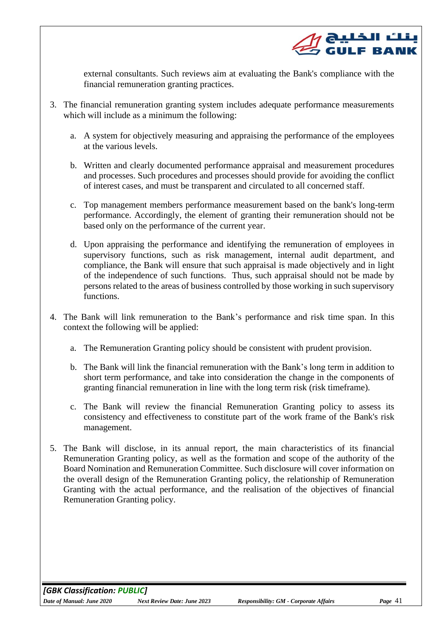

external consultants. Such reviews aim at evaluating the Bank's compliance with the financial remuneration granting practices.

- 3. The financial remuneration granting system includes adequate performance measurements which will include as a minimum the following:
	- a. A system for objectively measuring and appraising the performance of the employees at the various levels.
	- b. Written and clearly documented performance appraisal and measurement procedures and processes. Such procedures and processes should provide for avoiding the conflict of interest cases, and must be transparent and circulated to all concerned staff.
	- c. Top management members performance measurement based on the bank's long-term performance. Accordingly, the element of granting their remuneration should not be based only on the performance of the current year.
	- d. Upon appraising the performance and identifying the remuneration of employees in supervisory functions, such as risk management, internal audit department, and compliance, the Bank will ensure that such appraisal is made objectively and in light of the independence of such functions. Thus, such appraisal should not be made by persons related to the areas of business controlled by those working in such supervisory functions.
- 4. The Bank will link remuneration to the Bank's performance and risk time span. In this context the following will be applied:
	- a. The Remuneration Granting policy should be consistent with prudent provision.
	- b. The Bank will link the financial remuneration with the Bank's long term in addition to short term performance, and take into consideration the change in the components of granting financial remuneration in line with the long term risk (risk timeframe).
	- c. The Bank will review the financial Remuneration Granting policy to assess its consistency and effectiveness to constitute part of the work frame of the Bank's risk management.
- 5. The Bank will disclose, in its annual report, the main characteristics of its financial Remuneration Granting policy, as well as the formation and scope of the authority of the Board Nomination and Remuneration Committee. Such disclosure will cover information on the overall design of the Remuneration Granting policy, the relationship of Remuneration Granting with the actual performance, and the realisation of the objectives of financial Remuneration Granting policy.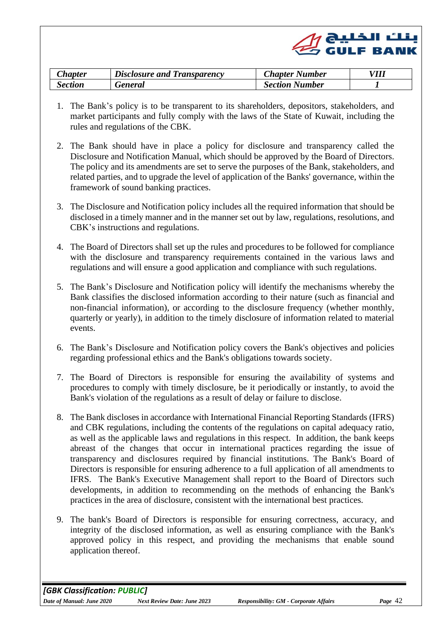

<span id="page-41-0"></span>

| :hanter | <i>Disclosure and Transparency</i> | <b>Number</b><br>Lhapter | VIII |
|---------|------------------------------------|--------------------------|------|
| Section | <i>reneral</i>                     | <b>Section Number</b>    |      |

- <span id="page-41-1"></span>1. The Bank's policy is to be transparent to its shareholders, depositors, stakeholders, and market participants and fully comply with the laws of the State of Kuwait, including the rules and regulations of the CBK.
- 2. The Bank should have in place a policy for disclosure and transparency called the Disclosure and Notification Manual, which should be approved by the Board of Directors. The policy and its amendments are set to serve the purposes of the Bank, stakeholders, and related parties, and to upgrade the level of application of the Banks' governance, within the framework of sound banking practices.
- 3. The Disclosure and Notification policy includes all the required information that should be disclosed in a timely manner and in the manner set out by law, regulations, resolutions, and CBK's instructions and regulations.
- 4. The Board of Directors shall set up the rules and procedures to be followed for compliance with the disclosure and transparency requirements contained in the various laws and regulations and will ensure a good application and compliance with such regulations.
- 5. The Bank's Disclosure and Notification policy will identify the mechanisms whereby the Bank classifies the disclosed information according to their nature (such as financial and non-financial information), or according to the disclosure frequency (whether monthly, quarterly or yearly), in addition to the timely disclosure of information related to material events.
- 6. The Bank's Disclosure and Notification policy covers the Bank's objectives and policies regarding professional ethics and the Bank's obligations towards society.
- 7. The Board of Directors is responsible for ensuring the availability of systems and procedures to comply with timely disclosure, be it periodically or instantly, to avoid the Bank's violation of the regulations as a result of delay or failure to disclose.
- 8. The Bank discloses in accordance with International Financial Reporting Standards (IFRS) and CBK regulations, including the contents of the regulations on capital adequacy ratio, as well as the applicable laws and regulations in this respect. In addition, the bank keeps abreast of the changes that occur in international practices regarding the issue of transparency and disclosures required by financial institutions. The Bank's Board of Directors is responsible for ensuring adherence to a full application of all amendments to IFRS. The Bank's Executive Management shall report to the Board of Directors such developments, in addition to recommending on the methods of enhancing the Bank's practices in the area of disclosure, consistent with the international best practices.
- 9. The bank's Board of Directors is responsible for ensuring correctness, accuracy, and integrity of the disclosed information, as well as ensuring compliance with the Bank's approved policy in this respect, and providing the mechanisms that enable sound application thereof.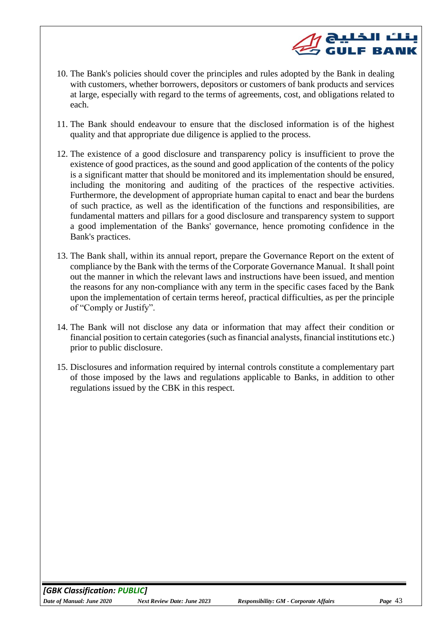- ت الخليج<br>العالمية **GULF BANK** 10. The Bank's policies should cover the principles and rules adopted by the Bank in dealing with customers, whether borrowers, depositors or customers of bank products and services at large, especially with regard to the terms of agreements, cost, and obligations related to
- 11. The Bank should endeavour to ensure that the disclosed information is of the highest quality and that appropriate due diligence is applied to the process.
- 12. The existence of a good disclosure and transparency policy is insufficient to prove the existence of good practices, as the sound and good application of the contents of the policy is a significant matter that should be monitored and its implementation should be ensured, including the monitoring and auditing of the practices of the respective activities. Furthermore, the development of appropriate human capital to enact and bear the burdens of such practice, as well as the identification of the functions and responsibilities, are fundamental matters and pillars for a good disclosure and transparency system to support a good implementation of the Banks' governance, hence promoting confidence in the Bank's practices.
- 13. The Bank shall, within its annual report, prepare the Governance Report on the extent of compliance by the Bank with the terms of the Corporate Governance Manual. It shall point out the manner in which the relevant laws and instructions have been issued, and mention the reasons for any non-compliance with any term in the specific cases faced by the Bank upon the implementation of certain terms hereof, practical difficulties, as per the principle of "Comply or Justify".
- 14. The Bank will not disclose any data or information that may affect their condition or financial position to certain categories (such as financial analysts, financial institutions etc.) prior to public disclosure.
- 15. Disclosures and information required by internal controls constitute a complementary part of those imposed by the laws and regulations applicable to Banks, in addition to other regulations issued by the CBK in this respect.

each.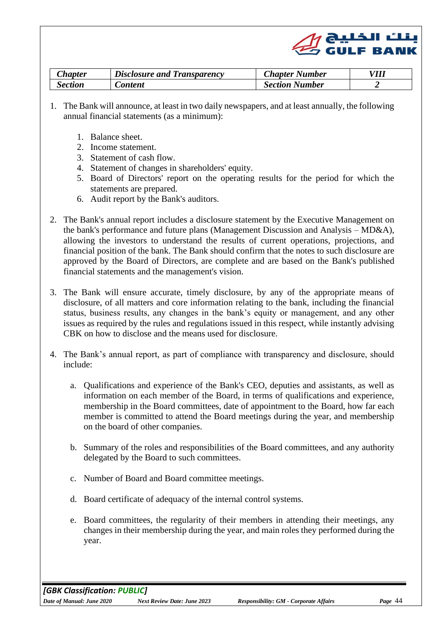

<span id="page-43-0"></span>

| <i>Lhapter</i> | $\Box$ Disclosure and Transparency | Chapter Number        | VIII |
|----------------|------------------------------------|-----------------------|------|
| section        | <i>Content</i>                     | <b>Section Number</b> |      |

- 1. The Bank will announce, at least in two daily newspapers, and at least annually, the following annual financial statements (as a minimum):
	- 1. Balance sheet.
	- 2. Income statement.
	- 3. Statement of cash flow.
	- 4. Statement of changes in shareholders' equity.
	- 5. Board of Directors' report on the operating results for the period for which the statements are prepared.
	- 6. Audit report by the Bank's auditors.
- 2. The Bank's annual report includes a disclosure statement by the Executive Management on the bank's performance and future plans (Management Discussion and Analysis – MD&A), allowing the investors to understand the results of current operations, projections, and financial position of the bank. The Bank should confirm that the notes to such disclosure are approved by the Board of Directors, are complete and are based on the Bank's published financial statements and the management's vision.
- 3. The Bank will ensure accurate, timely disclosure, by any of the appropriate means of disclosure, of all matters and core information relating to the bank, including the financial status, business results, any changes in the bank's equity or management, and any other issues as required by the rules and regulations issued in this respect, while instantly advising CBK on how to disclose and the means used for disclosure.
- 4. The Bank's annual report, as part of compliance with transparency and disclosure, should include:
	- a. Qualifications and experience of the Bank's CEO, deputies and assistants, as well as information on each member of the Board, in terms of qualifications and experience, membership in the Board committees, date of appointment to the Board, how far each member is committed to attend the Board meetings during the year, and membership on the board of other companies.
	- b. Summary of the roles and responsibilities of the Board committees, and any authority delegated by the Board to such committees.
	- c. Number of Board and Board committee meetings.
	- d. Board certificate of adequacy of the internal control systems.
	- e. Board committees, the regularity of their members in attending their meetings, any changes in their membership during the year, and main roles they performed during the year.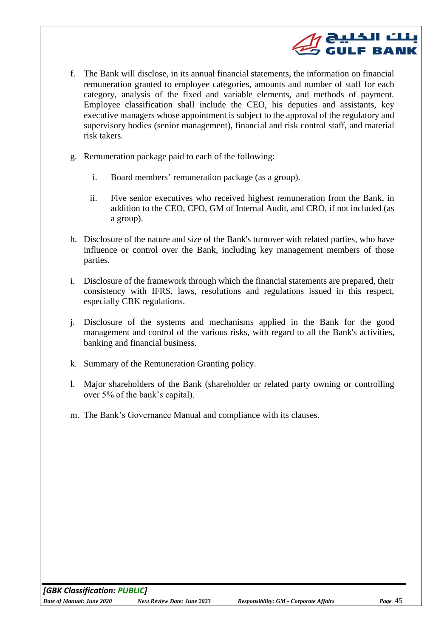

- f. The Bank will disclose, in its annual financial statements, the information on financial remuneration granted to employee categories, amounts and number of staff for each category, analysis of the fixed and variable elements, and methods of payment. Employee classification shall include the CEO, his deputies and assistants, key executive managers whose appointment is subject to the approval of the regulatory and supervisory bodies (senior management), financial and risk control staff, and material risk takers.
- g. Remuneration package paid to each of the following:
	- i. Board members' remuneration package (as a group).
	- ii. Five senior executives who received highest remuneration from the Bank, in addition to the CEO, CFO, GM of Internal Audit, and CRO, if not included (as a group).
- h. Disclosure of the nature and size of the Bank's turnover with related parties, who have influence or control over the Bank, including key management members of those parties.
- i. Disclosure of the framework through which the financial statements are prepared, their consistency with IFRS, laws, resolutions and regulations issued in this respect, especially CBK regulations.
- j. Disclosure of the systems and mechanisms applied in the Bank for the good management and control of the various risks, with regard to all the Bank's activities, banking and financial business.
- k. Summary of the Remuneration Granting policy.
- l. Major shareholders of the Bank (shareholder or related party owning or controlling over 5% of the bank's capital).
- m. The Bank's Governance Manual and compliance with its clauses.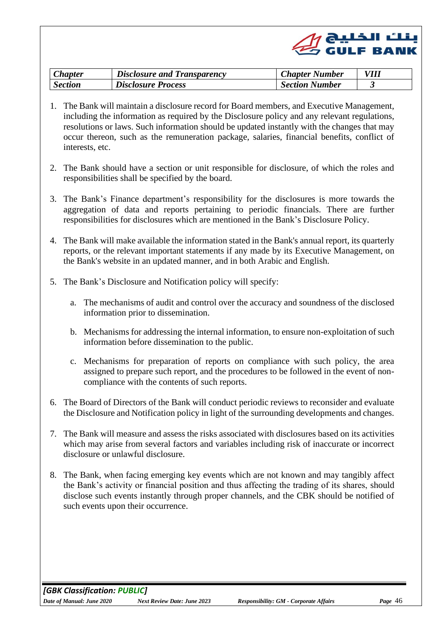

<span id="page-45-0"></span>

| <i>Chapter</i> | <b>Disclosure and Transparency</b> | <b>Chapter Number</b> |  |
|----------------|------------------------------------|-----------------------|--|
| <b>Section</b> | <b>Disclosure Process</b>          | <b>Section Number</b> |  |

- 1. The Bank will maintain a disclosure record for Board members, and Executive Management, including the information as required by the Disclosure policy and any relevant regulations, resolutions or laws. Such information should be updated instantly with the changes that may occur thereon, such as the remuneration package, salaries, financial benefits, conflict of interests, etc.
- 2. The Bank should have a section or unit responsible for disclosure, of which the roles and responsibilities shall be specified by the board.
- 3. The Bank's Finance department's responsibility for the disclosures is more towards the aggregation of data and reports pertaining to periodic financials. There are further responsibilities for disclosures which are mentioned in the Bank's Disclosure Policy.
- 4. The Bank will make available the information stated in the Bank's annual report, its quarterly reports, or the relevant important statements if any made by its Executive Management, on the Bank's website in an updated manner, and in both Arabic and English.
- 5. The Bank's Disclosure and Notification policy will specify:
	- a. The mechanisms of audit and control over the accuracy and soundness of the disclosed information prior to dissemination.
	- b. Mechanisms for addressing the internal information, to ensure non-exploitation of such information before dissemination to the public.
	- c. Mechanisms for preparation of reports on compliance with such policy, the area assigned to prepare such report, and the procedures to be followed in the event of noncompliance with the contents of such reports.
- 6. The Board of Directors of the Bank will conduct periodic reviews to reconsider and evaluate the Disclosure and Notification policy in light of the surrounding developments and changes.
- 7. The Bank will measure and assess the risks associated with disclosures based on its activities which may arise from several factors and variables including risk of inaccurate or incorrect disclosure or unlawful disclosure.
- 8. The Bank, when facing emerging key events which are not known and may tangibly affect the Bank's activity or financial position and thus affecting the trading of its shares, should disclose such events instantly through proper channels, and the CBK should be notified of such events upon their occurrence.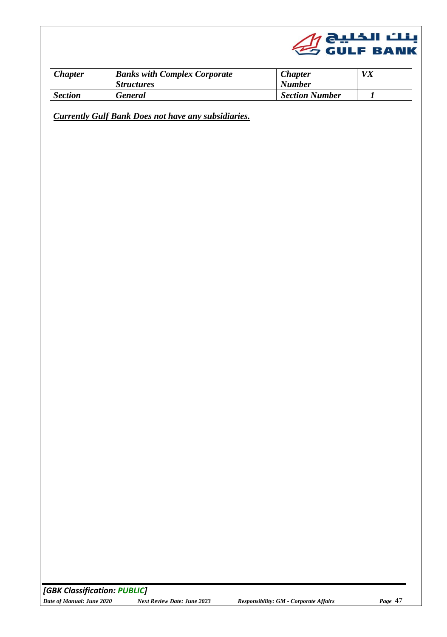

<span id="page-46-0"></span>

| <i>Chapter</i> | <b>Banks with Complex Corporate</b><br><b>Structures</b> | <b>Chapter</b><br><b>Number</b> | VX |
|----------------|----------------------------------------------------------|---------------------------------|----|
| <b>Section</b> | <b>General</b>                                           | <b>Section Number</b>           |    |

<span id="page-46-1"></span>*Currently Gulf Bank Does not have any subsidiaries.*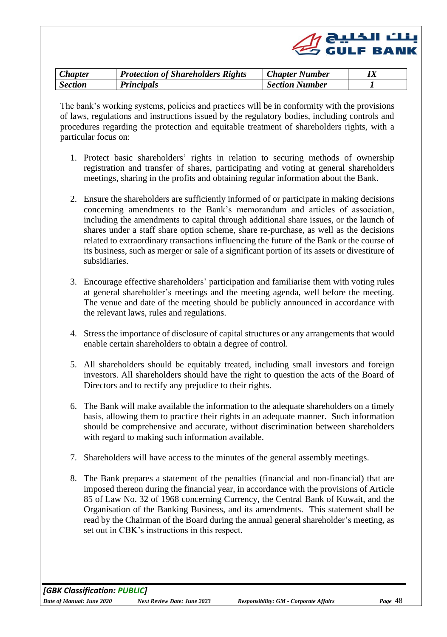

<span id="page-47-0"></span>

| $\mathcal{L}$ hapter | <b>Protection of Shareholders Rights</b> | <b>Chapter Number</b> |  |
|----------------------|------------------------------------------|-----------------------|--|
| <b>Section</b>       | <b>Principals</b>                        | <b>Section Number</b> |  |

<span id="page-47-1"></span>The bank's working systems, policies and practices will be in conformity with the provisions of laws, regulations and instructions issued by the regulatory bodies, including controls and procedures regarding the protection and equitable treatment of shareholders rights, with a particular focus on:

- 1. Protect basic shareholders' rights in relation to securing methods of ownership registration and transfer of shares, participating and voting at general shareholders meetings, sharing in the profits and obtaining regular information about the Bank.
- 2. Ensure the shareholders are sufficiently informed of or participate in making decisions concerning amendments to the Bank's memorandum and articles of association, including the amendments to capital through additional share issues, or the launch of shares under a staff share option scheme, share re-purchase, as well as the decisions related to extraordinary transactions influencing the future of the Bank or the course of its business, such as merger or sale of a significant portion of its assets or divestiture of subsidiaries.
- 3. Encourage effective shareholders' participation and familiarise them with voting rules at general shareholder's meetings and the meeting agenda, well before the meeting. The venue and date of the meeting should be publicly announced in accordance with the relevant laws, rules and regulations.
- 4. Stress the importance of disclosure of capital structures or any arrangements that would enable certain shareholders to obtain a degree of control.
- 5. All shareholders should be equitably treated, including small investors and foreign investors. All shareholders should have the right to question the acts of the Board of Directors and to rectify any prejudice to their rights.
- 6. The Bank will make available the information to the adequate shareholders on a timely basis, allowing them to practice their rights in an adequate manner. Such information should be comprehensive and accurate, without discrimination between shareholders with regard to making such information available.
- 7. Shareholders will have access to the minutes of the general assembly meetings.
- 8. The Bank prepares a statement of the penalties (financial and non-financial) that are imposed thereon during the financial year, in accordance with the provisions of Article 85 of Law No. 32 of 1968 concerning Currency, the Central Bank of Kuwait, and the Organisation of the Banking Business, and its amendments. This statement shall be read by the Chairman of the Board during the annual general shareholder's meeting, as set out in CBK's instructions in this respect.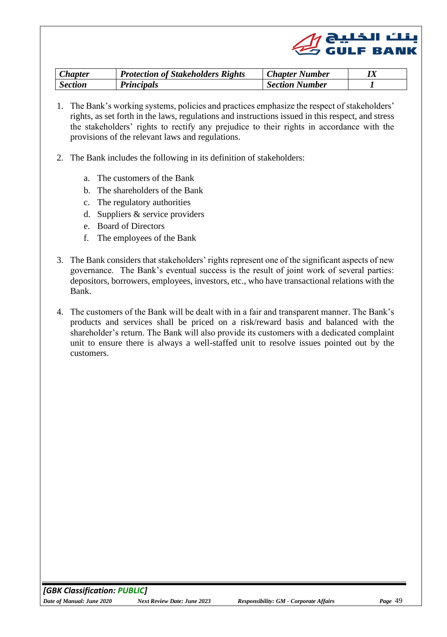

<span id="page-48-1"></span><span id="page-48-0"></span>

| <b>Chapter</b> | Protection of Stakeholders Rights | <b>Chapter Number</b> | lа |
|----------------|-----------------------------------|-----------------------|----|
| <b>Section</b> | <b>Principals</b>                 | <b>Section Number</b> |    |

- 1. The Bank's working systems, policies and practices emphasize the respect of stakeholders' rights, as set forth in the laws, regulations and instructions issued in this respect, and stress the stakeholders' rights to rectify any prejudice to their rights in accordance with the provisions of the relevant laws and regulations.
- 2. The Bank includes the following in its definition of stakeholders:
	- a. The customers of the Bank
	- b. The shareholders of the Bank
	- c. The regulatory authorities
	- d. Suppliers & service providers
	- e. Board of Directors
	- f. The employees of the Bank
- 3. The Bank considers that stakeholders' rights represent one of the significant aspects of new governance. The Bank's eventual success is the result of joint work of several parties: depositors, borrowers, employees, investors, etc., who have transactional relations with the Bank.
- 4. The customers of the Bank will be dealt with in a fair and transparent manner. The Bank's products and services shall be priced on a risk/reward basis and balanced with the shareholder's return. The Bank will also provide its customers with a dedicated complaint unit to ensure there is always a well-staffed unit to resolve issues pointed out by the customers.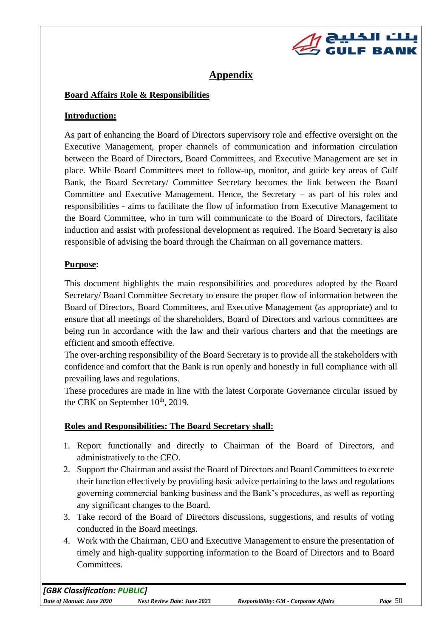

# **Appendix**

## **Board Affairs Role & Responsibilities**

## **Introduction:**

As part of enhancing the Board of Directors supervisory role and effective oversight on the Executive Management, proper channels of communication and information circulation between the Board of Directors, Board Committees, and Executive Management are set in place. While Board Committees meet to follow-up, monitor, and guide key areas of Gulf Bank, the Board Secretary/ Committee Secretary becomes the link between the Board Committee and Executive Management. Hence, the Secretary – as part of his roles and responsibilities - aims to facilitate the flow of information from Executive Management to the Board Committee, who in turn will communicate to the Board of Directors, facilitate induction and assist with professional development as required. The Board Secretary is also responsible of advising the board through the Chairman on all governance matters.

# **Purpose:**

This document highlights the main responsibilities and procedures adopted by the Board Secretary/ Board Committee Secretary to ensure the proper flow of information between the Board of Directors, Board Committees, and Executive Management (as appropriate) and to ensure that all meetings of the shareholders, Board of Directors and various committees are being run in accordance with the law and their various charters and that the meetings are efficient and smooth effective.

The over-arching responsibility of the Board Secretary is to provide all the stakeholders with confidence and comfort that the Bank is run openly and honestly in full compliance with all prevailing laws and regulations.

These procedures are made in line with the latest Corporate Governance circular issued by the CBK on September 10<sup>th</sup>, 2019.

# **Roles and Responsibilities: The Board Secretary shall:**

- 1. Report functionally and directly to Chairman of the Board of Directors, and administratively to the CEO.
- 2. Support the Chairman and assist the Board of Directors and Board Committees to excrete their function effectively by providing basic advice pertaining to the laws and regulations governing commercial banking business and the Bank's procedures, as well as reporting any significant changes to the Board.
- 3. Take record of the Board of Directors discussions, suggestions, and results of voting conducted in the Board meetings.
- 4. Work with the Chairman, CEO and Executive Management to ensure the presentation of timely and high-quality supporting information to the Board of Directors and to Board Committees.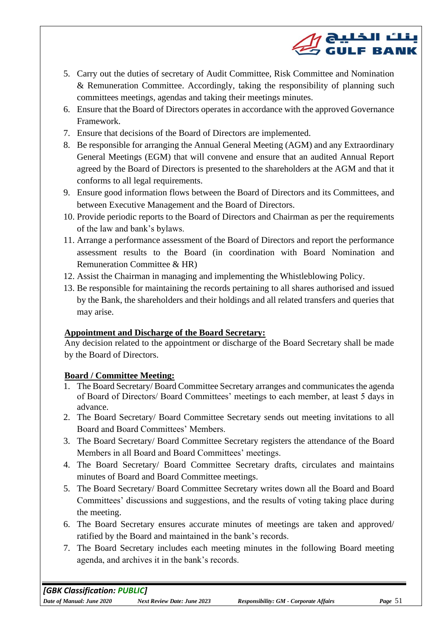

- 5. Carry out the duties of secretary of Audit Committee, Risk Committee and Nomination & Remuneration Committee. Accordingly, taking the responsibility of planning such committees meetings, agendas and taking their meetings minutes.
- 6. Ensure that the Board of Directors operates in accordance with the approved Governance Framework.
- 7. Ensure that decisions of the Board of Directors are implemented.
- 8. Be responsible for arranging the Annual General Meeting (AGM) and any Extraordinary General Meetings (EGM) that will convene and ensure that an audited Annual Report agreed by the Board of Directors is presented to the shareholders at the AGM and that it conforms to all legal requirements.
- 9. Ensure good information flows between the Board of Directors and its Committees, and between Executive Management and the Board of Directors.
- 10. Provide periodic reports to the Board of Directors and Chairman as per the requirements of the law and bank's bylaws.
- 11. Arrange a performance assessment of the Board of Directors and report the performance assessment results to the Board (in coordination with Board Nomination and Remuneration Committee & HR)
- 12. Assist the Chairman in managing and implementing the Whistleblowing Policy.
- 13. Be responsible for maintaining the records pertaining to all shares authorised and issued by the Bank, the shareholders and their holdings and all related transfers and queries that may arise.

#### **Appointment and Discharge of the Board Secretary:**

Any decision related to the appointment or discharge of the Board Secretary shall be made by the Board of Directors.

#### **Board / Committee Meeting:**

- 1. The Board Secretary/ Board Committee Secretary arranges and communicates the agenda of Board of Directors/ Board Committees' meetings to each member, at least 5 days in advance.
- 2. The Board Secretary/ Board Committee Secretary sends out meeting invitations to all Board and Board Committees' Members.
- 3. The Board Secretary/ Board Committee Secretary registers the attendance of the Board Members in all Board and Board Committees' meetings.
- 4. The Board Secretary/ Board Committee Secretary drafts, circulates and maintains minutes of Board and Board Committee meetings.
- 5. The Board Secretary/ Board Committee Secretary writes down all the Board and Board Committees' discussions and suggestions, and the results of voting taking place during the meeting.
- 6. The Board Secretary ensures accurate minutes of meetings are taken and approved/ ratified by the Board and maintained in the bank's records.
- 7. The Board Secretary includes each meeting minutes in the following Board meeting agenda, and archives it in the bank's records.

*[GBK Classification: PUBLIC]*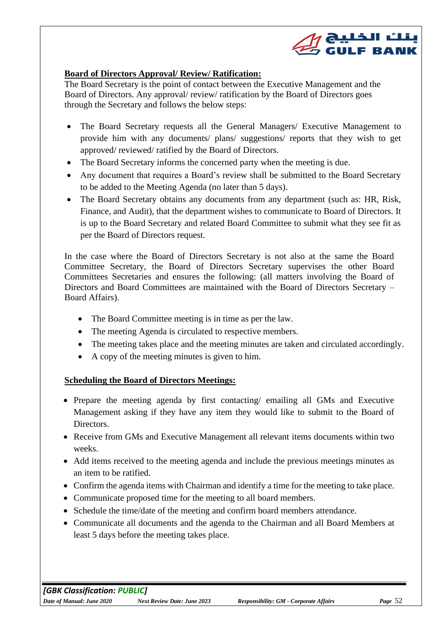

#### **Board of Directors Approval/ Review/ Ratification:**

The Board Secretary is the point of contact between the Executive Management and the Board of Directors. Any approval/ review/ ratification by the Board of Directors goes through the Secretary and follows the below steps:

- The Board Secretary requests all the General Managers/ Executive Management to provide him with any documents/ plans/ suggestions/ reports that they wish to get approved/ reviewed/ ratified by the Board of Directors.
- The Board Secretary informs the concerned party when the meeting is due.
- Any document that requires a Board's review shall be submitted to the Board Secretary to be added to the Meeting Agenda (no later than 5 days).
- The Board Secretary obtains any documents from any department (such as: HR, Risk, Finance, and Audit), that the department wishes to communicate to Board of Directors. It is up to the Board Secretary and related Board Committee to submit what they see fit as per the Board of Directors request.

In the case where the Board of Directors Secretary is not also at the same the Board Committee Secretary, the Board of Directors Secretary supervises the other Board Committees Secretaries and ensures the following: (all matters involving the Board of Directors and Board Committees are maintained with the Board of Directors Secretary – Board Affairs).

- The Board Committee meeting is in time as per the law.
- The meeting Agenda is circulated to respective members.
- The meeting takes place and the meeting minutes are taken and circulated accordingly.
- A copy of the meeting minutes is given to him.

#### **Scheduling the Board of Directors Meetings:**

- Prepare the meeting agenda by first contacting/ emailing all GMs and Executive Management asking if they have any item they would like to submit to the Board of Directors.
- Receive from GMs and Executive Management all relevant items documents within two weeks.
- Add items received to the meeting agenda and include the previous meetings minutes as an item to be ratified.
- Confirm the agenda items with Chairman and identify a time for the meeting to take place.
- Communicate proposed time for the meeting to all board members.
- Schedule the time/date of the meeting and confirm board members attendance.
- Communicate all documents and the agenda to the Chairman and all Board Members at least 5 days before the meeting takes place.